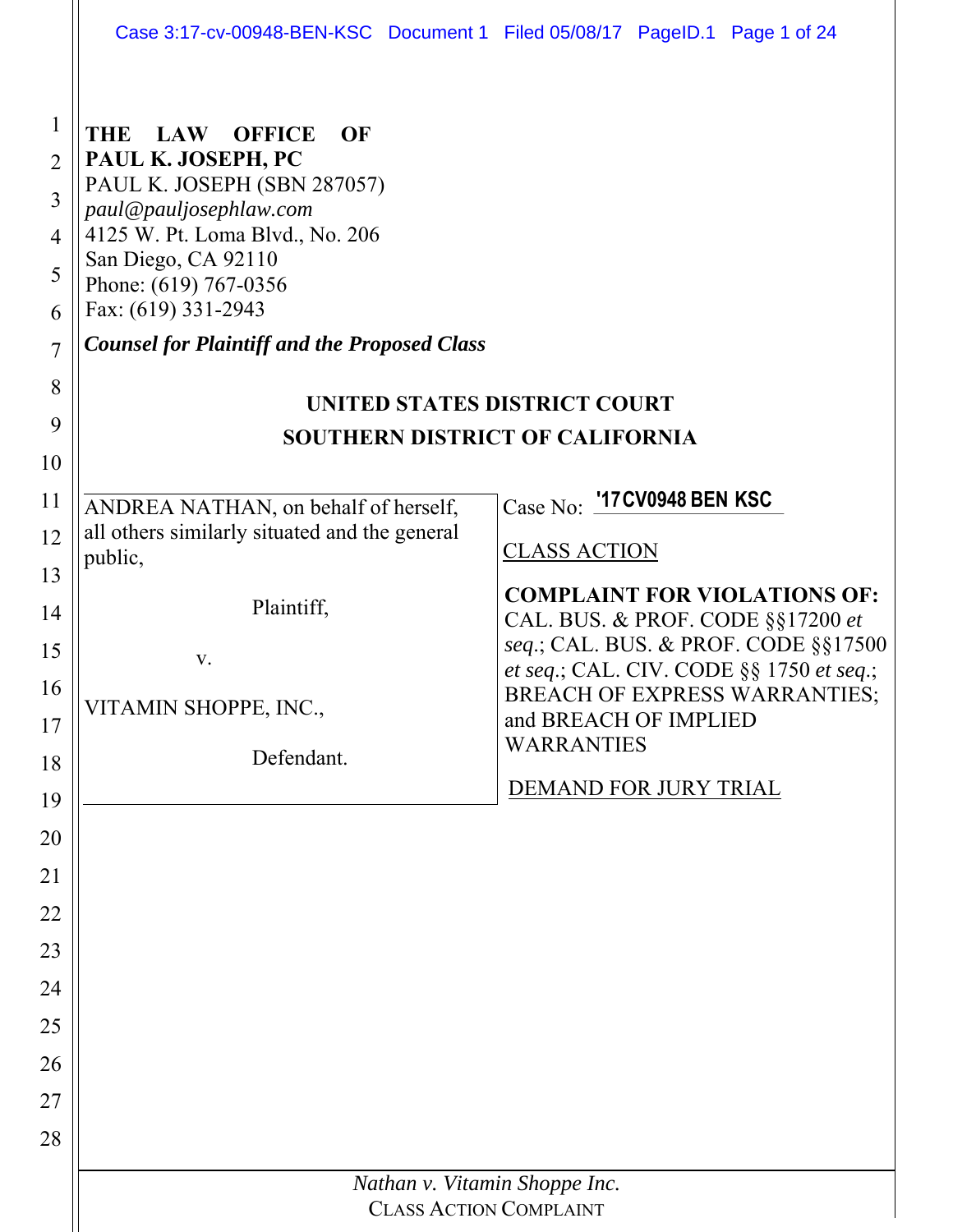|                                                                                     | Case 3:17-cv-00948-BEN-KSC Document 1 Filed 05/08/17 PageID.1 Page 1 of 24                                                                                                                                                                                                               |                                                                                  |  |  |
|-------------------------------------------------------------------------------------|------------------------------------------------------------------------------------------------------------------------------------------------------------------------------------------------------------------------------------------------------------------------------------------|----------------------------------------------------------------------------------|--|--|
| 1<br>$\overline{2}$<br>$\overline{3}$<br>$\overline{4}$<br>5<br>6<br>$\overline{7}$ | <b>OFFICE</b><br>THE<br><b>LAW</b><br>OF<br>PAUL K. JOSEPH, PC<br>PAUL K. JOSEPH (SBN 287057)<br>paul@pauljosephlaw.com<br>4125 W. Pt. Loma Blvd., No. 206<br>San Diego, CA 92110<br>Phone: (619) 767-0356<br>Fax: (619) 331-2943<br><b>Counsel for Plaintiff and the Proposed Class</b> |                                                                                  |  |  |
| 8                                                                                   | UNITED STATES DISTRICT COURT                                                                                                                                                                                                                                                             |                                                                                  |  |  |
| 9                                                                                   | <b>SOUTHERN DISTRICT OF CALIFORNIA</b>                                                                                                                                                                                                                                                   |                                                                                  |  |  |
| 10                                                                                  |                                                                                                                                                                                                                                                                                          |                                                                                  |  |  |
| 11                                                                                  | ANDREA NATHAN, on behalf of herself,                                                                                                                                                                                                                                                     | Case No: '17 CV0948 BEN KSC                                                      |  |  |
| 12                                                                                  | all others similarly situated and the general<br>public,                                                                                                                                                                                                                                 | <b>CLASS ACTION</b>                                                              |  |  |
| 13                                                                                  |                                                                                                                                                                                                                                                                                          | <b>COMPLAINT FOR VIOLATIONS OF:</b>                                              |  |  |
| 14                                                                                  | Plaintiff,                                                                                                                                                                                                                                                                               | CAL. BUS. & PROF. CODE §§17200 et                                                |  |  |
| 15                                                                                  | V.                                                                                                                                                                                                                                                                                       | seq.; CAL. BUS. & PROF. CODE §§17500<br>et seq.; CAL. CIV. CODE §§ 1750 et seq.; |  |  |
| 16                                                                                  | VITAMIN SHOPPE, INC.,                                                                                                                                                                                                                                                                    | <b>BREACH OF EXPRESS WARRANTIES;</b><br>and BREACH OF IMPLIED                    |  |  |
| 17                                                                                  | Defendant.                                                                                                                                                                                                                                                                               | <b>WARRANTIES</b>                                                                |  |  |
| 18                                                                                  |                                                                                                                                                                                                                                                                                          | DEMAND FOR JURY TRIAL                                                            |  |  |
| 19<br>20                                                                            |                                                                                                                                                                                                                                                                                          |                                                                                  |  |  |
| 21                                                                                  |                                                                                                                                                                                                                                                                                          |                                                                                  |  |  |
| 22                                                                                  |                                                                                                                                                                                                                                                                                          |                                                                                  |  |  |
| 23                                                                                  |                                                                                                                                                                                                                                                                                          |                                                                                  |  |  |
| 24                                                                                  |                                                                                                                                                                                                                                                                                          |                                                                                  |  |  |
| 25                                                                                  |                                                                                                                                                                                                                                                                                          |                                                                                  |  |  |
| 26                                                                                  |                                                                                                                                                                                                                                                                                          |                                                                                  |  |  |
| 27                                                                                  |                                                                                                                                                                                                                                                                                          |                                                                                  |  |  |
| 28                                                                                  |                                                                                                                                                                                                                                                                                          |                                                                                  |  |  |
|                                                                                     |                                                                                                                                                                                                                                                                                          | Nathan v. Vitamin Shoppe Inc.                                                    |  |  |
|                                                                                     | <b>CLASS ACTION COMPLAINT</b>                                                                                                                                                                                                                                                            |                                                                                  |  |  |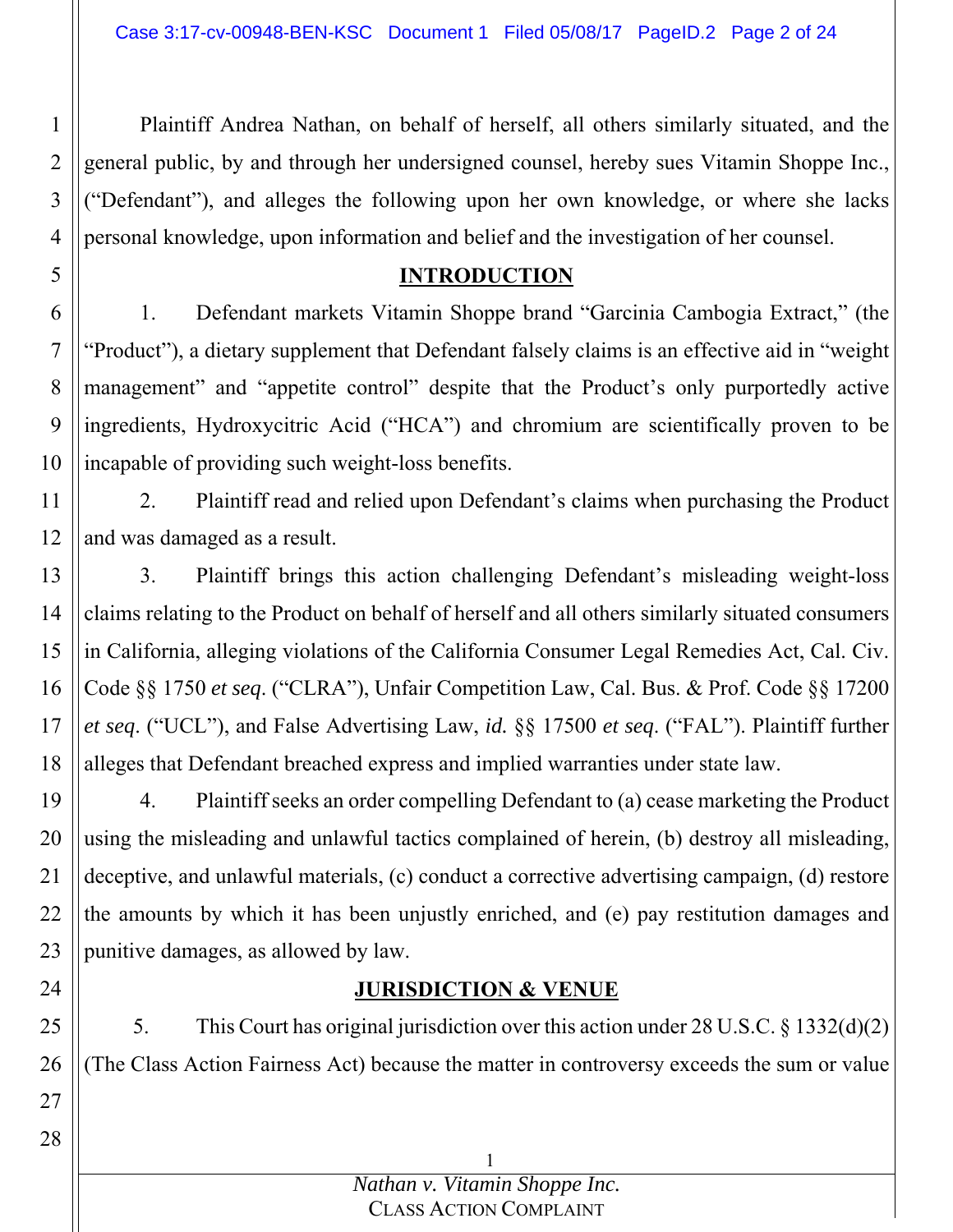Plaintiff Andrea Nathan, on behalf of herself, all others similarly situated, and the general public, by and through her undersigned counsel, hereby sues Vitamin Shoppe Inc., ("Defendant"), and alleges the following upon her own knowledge, or where she lacks personal knowledge, upon information and belief and the investigation of her counsel.

### **INTRODUCTION**

6 7 8 9 10 1. Defendant markets Vitamin Shoppe brand "Garcinia Cambogia Extract," (the "Product"), a dietary supplement that Defendant falsely claims is an effective aid in "weight management" and "appetite control" despite that the Product's only purportedly active ingredients, Hydroxycitric Acid ("HCA") and chromium are scientifically proven to be incapable of providing such weight-loss benefits.

11 12 2. Plaintiff read and relied upon Defendant's claims when purchasing the Product and was damaged as a result.

13 14 15 16 17 18 3. Plaintiff brings this action challenging Defendant's misleading weight-loss claims relating to the Product on behalf of herself and all others similarly situated consumers in California, alleging violations of the California Consumer Legal Remedies Act, Cal. Civ. Code §§ 1750 *et seq*. ("CLRA"), Unfair Competition Law, Cal. Bus. & Prof. Code §§ 17200 *et seq*. ("UCL"), and False Advertising Law, *id.* §§ 17500 *et seq*. ("FAL"). Plaintiff further alleges that Defendant breached express and implied warranties under state law.

19 20 21 22 23 4. Plaintiff seeks an order compelling Defendant to (a) cease marketing the Product using the misleading and unlawful tactics complained of herein, (b) destroy all misleading, deceptive, and unlawful materials, (c) conduct a corrective advertising campaign, (d) restore the amounts by which it has been unjustly enriched, and (e) pay restitution damages and punitive damages, as allowed by law.

## **JURISDICTION & VENUE**

5. This Court has original jurisdiction over this action under 28 U.S.C. § 1332(d)(2) (The Class Action Fairness Act) because the matter in controversy exceeds the sum or value

24

25

26

27

1

2

3

4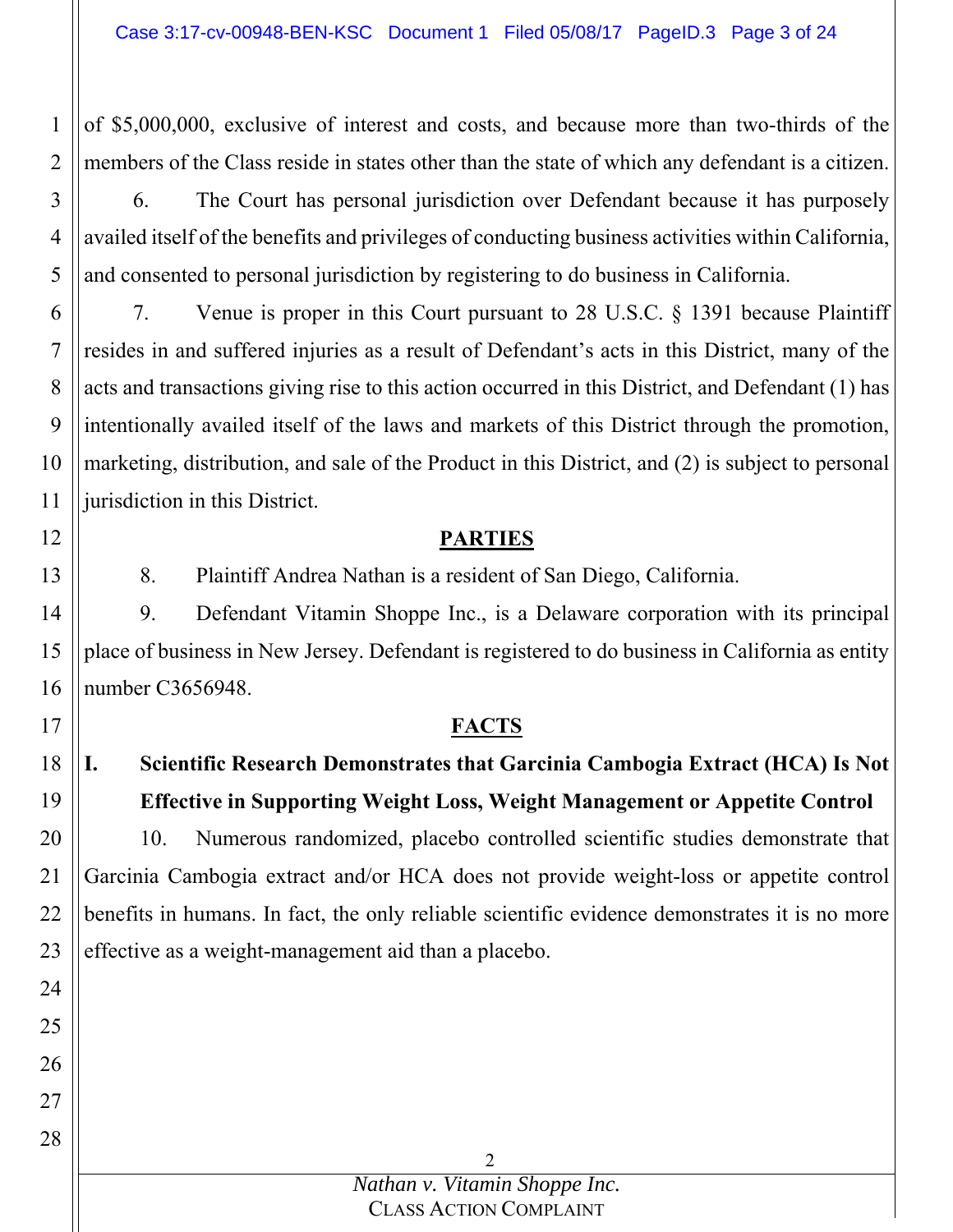of \$5,000,000, exclusive of interest and costs, and because more than two-thirds of the members of the Class reside in states other than the state of which any defendant is a citizen.

1

2

12

13

17

24

25

26

27

28

3 4 5 6. The Court has personal jurisdiction over Defendant because it has purposely availed itself of the benefits and privileges of conducting business activities within California, and consented to personal jurisdiction by registering to do business in California.

6 7 8 9 10 11 7. Venue is proper in this Court pursuant to 28 U.S.C. § 1391 because Plaintiff resides in and suffered injuries as a result of Defendant's acts in this District, many of the acts and transactions giving rise to this action occurred in this District, and Defendant (1) has intentionally availed itself of the laws and markets of this District through the promotion, marketing, distribution, and sale of the Product in this District, and (2) is subject to personal jurisdiction in this District.

### **PARTIES**

8. Plaintiff Andrea Nathan is a resident of San Diego, California.

14 15 16 9. Defendant Vitamin Shoppe Inc., is a Delaware corporation with its principal place of business in New Jersey. Defendant is registered to do business in California as entity number C3656948.

### **FACTS**

#### 18 19 **I. Scientific Research Demonstrates that Garcinia Cambogia Extract (HCA) Is Not Effective in Supporting Weight Loss, Weight Management or Appetite Control**

20 21 22 23 10. Numerous randomized, placebo controlled scientific studies demonstrate that Garcinia Cambogia extract and/or HCA does not provide weight-loss or appetite control benefits in humans. In fact, the only reliable scientific evidence demonstrates it is no more effective as a weight-management aid than a placebo.

> *Nathan v. Vitamin Shoppe Inc.* CLASS ACTION COMPLAINT

 $\mathcal{P}$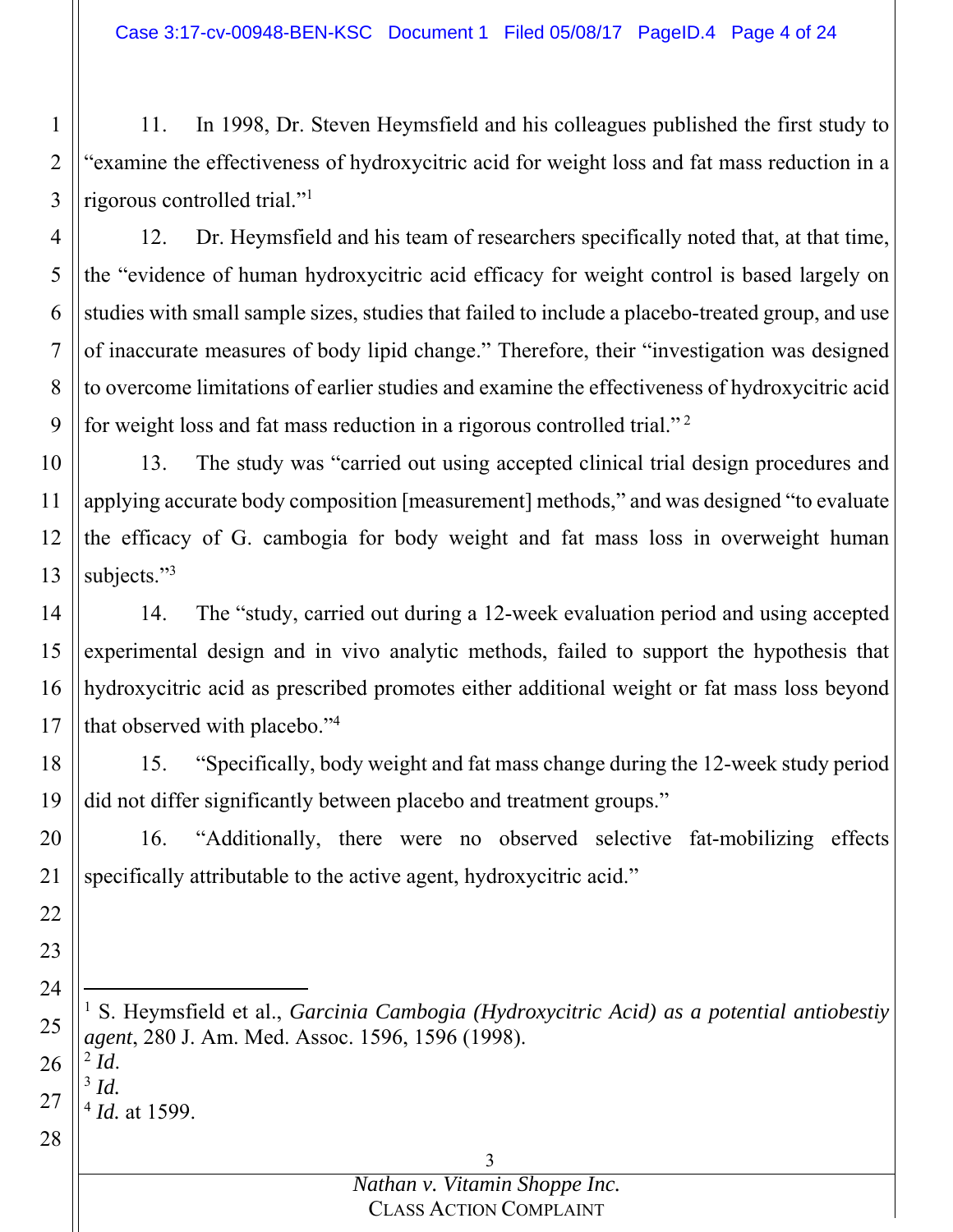2 3 11. In 1998, Dr. Steven Heymsfield and his colleagues published the first study to "examine the effectiveness of hydroxycitric acid for weight loss and fat mass reduction in a rigorous controlled trial."1

1

22

23

24

25

26

27

28

4 5 6 7 8 9 12. Dr. Heymsfield and his team of researchers specifically noted that, at that time, the "evidence of human hydroxycitric acid efficacy for weight control is based largely on studies with small sample sizes, studies that failed to include a placebo-treated group, and use of inaccurate measures of body lipid change." Therefore, their "investigation was designed to overcome limitations of earlier studies and examine the effectiveness of hydroxycitric acid for weight loss and fat mass reduction in a rigorous controlled trial." 2

10 11 12 13 13. The study was "carried out using accepted clinical trial design procedures and applying accurate body composition [measurement] methods," and was designed "to evaluate the efficacy of G. cambogia for body weight and fat mass loss in overweight human subjects."<sup>3</sup>

14 15 16 17 14. The "study, carried out during a 12-week evaluation period and using accepted experimental design and in vivo analytic methods, failed to support the hypothesis that hydroxycitric acid as prescribed promotes either additional weight or fat mass loss beyond that observed with placebo."4

18 19 15. "Specifically, body weight and fat mass change during the 12-week study period did not differ significantly between placebo and treatment groups."

20 21 16. "Additionally, there were no observed selective fat-mobilizing effects specifically attributable to the active agent, hydroxycitric acid."

l <sup>1</sup> S. Heymsfield et al., *Garcinia Cambogia (Hydroxycitric Acid) as a potential antiobestiy agent*, 280 J. Am. Med. Assoc. 1596, 1596 (1998). <sup>2</sup> *Id*. 3 *Id.*<sup>4</sup> *Id.* at 1599.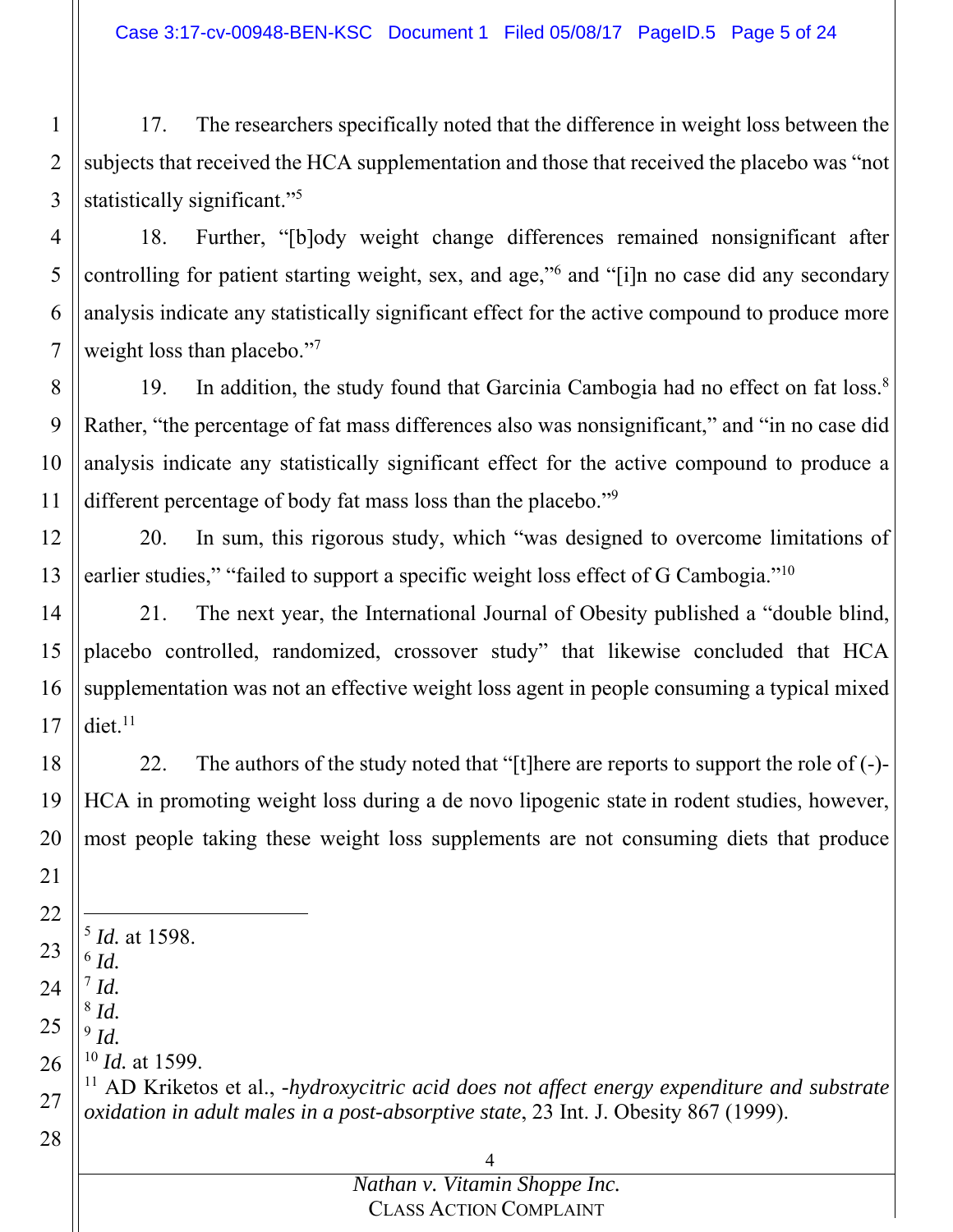Case 3:17-cv-00948-BEN-KSC Document 1 Filed 05/08/17 PageID.5 Page 5 of 24

1 2 3 17. The researchers specifically noted that the difference in weight loss between the subjects that received the HCA supplementation and those that received the placebo was "not statistically significant."<sup>5</sup>

18. Further, "[b]ody weight change differences remained nonsignificant after controlling for patient starting weight, sex, and age,"<sup>6</sup> and "[i]n no case did any secondary analysis indicate any statistically significant effect for the active compound to produce more weight loss than placebo."<sup>7</sup>

8 9 10 11 19. In addition, the study found that Garcinia Cambogia had no effect on fat loss.<sup>8</sup> Rather, "the percentage of fat mass differences also was nonsignificant," and "in no case did analysis indicate any statistically significant effect for the active compound to produce a different percentage of body fat mass loss than the placebo."9

12 13 20. In sum, this rigorous study, which "was designed to overcome limitations of earlier studies," "failed to support a specific weight loss effect of G Cambogia."<sup>10</sup>

14 15 16 17 21. The next year, the International Journal of Obesity published a "double blind, placebo controlled, randomized, crossover study" that likewise concluded that HCA supplementation was not an effective weight loss agent in people consuming a typical mixed  $\text{dict.}^{11}$ 

18 19 20 22. The authors of the study noted that "[t]here are reports to support the role of  $(-)$ -HCA in promoting weight loss during a de novo lipogenic state in rodent studies, however, most people taking these weight loss supplements are not consuming diets that produce

22 23 24 -<sup>5</sup> *Id.* at 1598.  $6$   $Id.$  $^7$  *Id.* <sup>8</sup> *Id.*

21

25

27

28

26 <sup>10</sup> *Id.* at 1599.

<sup>9</sup> *Id.*

11 AD Kriketos et al., *-hydroxycitric acid does not affect energy expenditure and substrate oxidation in adult males in a post-absorptive state*, 23 Int. J. Obesity 867 (1999).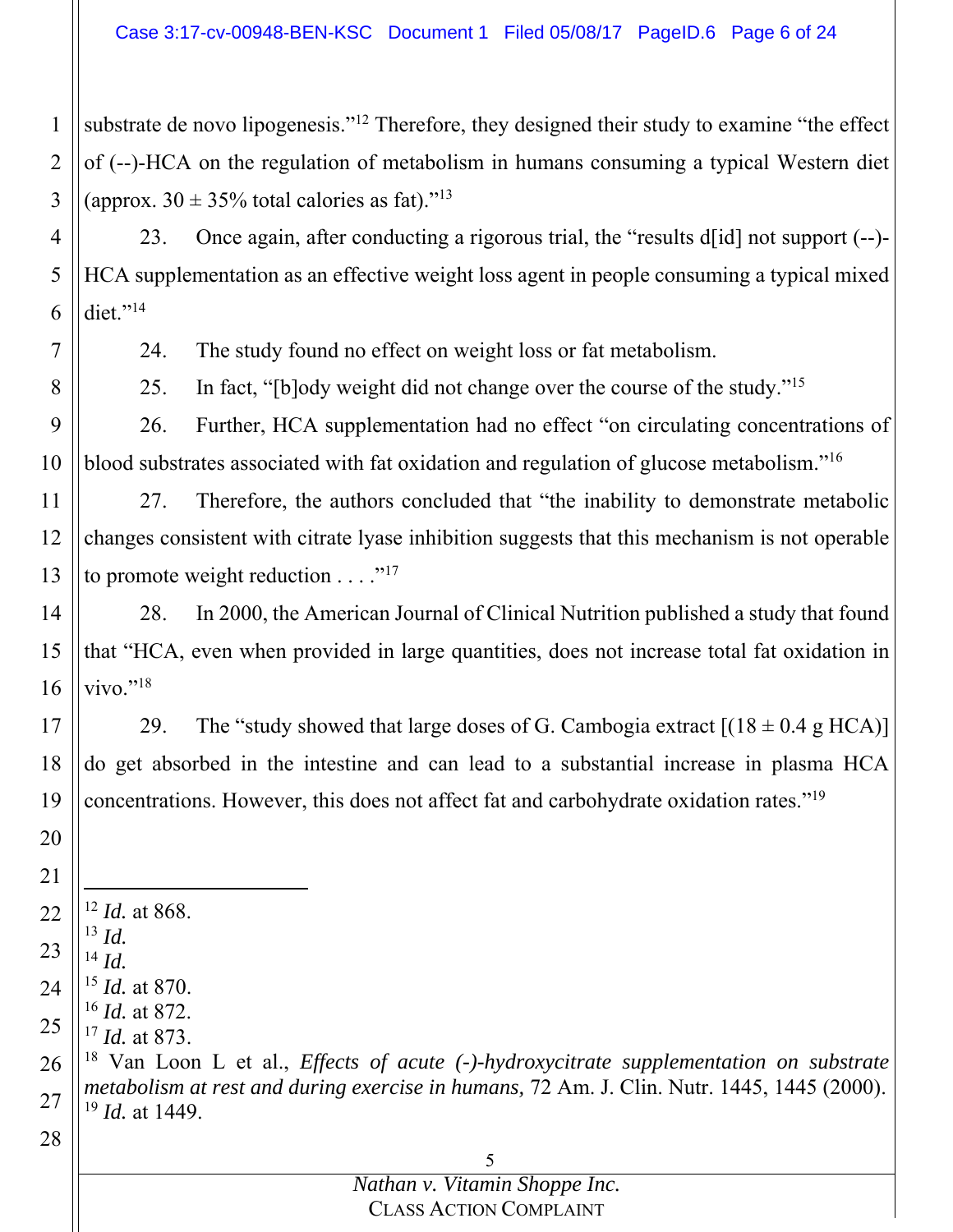1 2 3 substrate de novo lipogenesis."<sup>12</sup> Therefore, they designed their study to examine "the effect of (--)-HCA on the regulation of metabolism in humans consuming a typical Western diet (approx.  $30 \pm 35\%$  total calories as fat)."<sup>13</sup>

4 5 6 23. Once again, after conducting a rigorous trial, the "results d[id] not support (--)- HCA supplementation as an effective weight loss agent in people consuming a typical mixed diet."<sup>14</sup>

24. The study found no effect on weight loss or fat metabolism.

25. In fact, "[b]ody weight did not change over the course of the study."<sup>15</sup>

9 10 26. Further, HCA supplementation had no effect "on circulating concentrations of blood substrates associated with fat oxidation and regulation of glucose metabolism."16

11 12 13 27. Therefore, the authors concluded that "the inability to demonstrate metabolic changes consistent with citrate lyase inhibition suggests that this mechanism is not operable to promote weight reduction  $\dots$ ."<sup>17</sup>

14 15 16 28. In 2000, the American Journal of Clinical Nutrition published a study that found that "HCA, even when provided in large quantities, does not increase total fat oxidation in vivo." $^{18}$ 

17 18 19 29. The "study showed that large doses of G. Cambogia extract  $[(18 \pm 0.4 \text{ g HCA})]$ do get absorbed in the intestine and can lead to a substantial increase in plasma HCA concentrations. However, this does not affect fat and carbohydrate oxidation rates."19

22  $\overline{a}$ <sup>12</sup> *Id.* at 868.

- 23 <sup>13</sup> *Id.*  $^{14}$  *Id.*
- 

20

21

28

7

8

24 <sup>15</sup> *Id.* at 870. <sup>16</sup> *Id.* at 872.

25 <sup>17</sup> *Id.* at 873.

26 27 18 Van Loon L et al., *Effects of acute (-)-hydroxycitrate supplementation on substrate metabolism at rest and during exercise in humans,* 72 Am. J. Clin. Nutr. 1445, 1445 (2000). <sup>19</sup> *Id.* at 1449.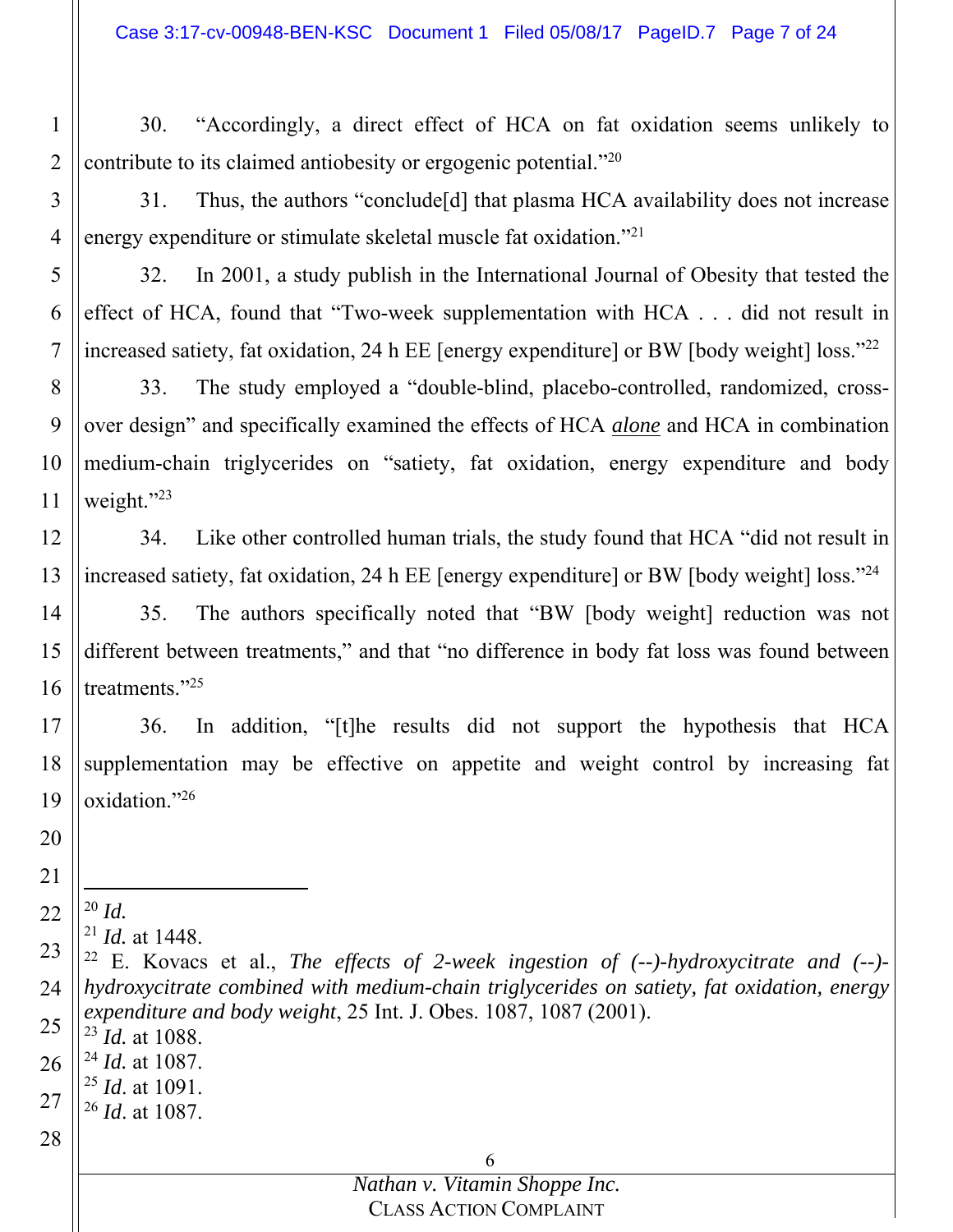30. "Accordingly, a direct effect of HCA on fat oxidation seems unlikely to contribute to its claimed antiobesity or ergogenic potential.<sup> $20$ </sup>

4 31. Thus, the authors "conclude[d] that plasma HCA availability does not increase energy expenditure or stimulate skeletal muscle fat oxidation."21

5 6 7 32. In 2001, a study publish in the International Journal of Obesity that tested the effect of HCA, found that "Two-week supplementation with HCA . . . did not result in increased satiety, fat oxidation, 24 h EE [energy expenditure] or BW [body weight] loss."<sup>22</sup>

8 9 10 11 33. The study employed a "double-blind, placebo-controlled, randomized, crossover design" and specifically examined the effects of HCA *alone* and HCA in combination medium-chain triglycerides on "satiety, fat oxidation, energy expenditure and body weight."23

12 13 34. Like other controlled human trials, the study found that HCA "did not result in increased satiety, fat oxidation, 24 h EE [energy expenditure] or BW [body weight] loss."24

14 15 16 35. The authors specifically noted that "BW [body weight] reduction was not different between treatments," and that "no difference in body fat loss was found between treatments."<sup>25</sup>

17 18 19 36. In addition, "[t]he results did not support the hypothesis that HCA supplementation may be effective on appetite and weight control by increasing fat oxidation."26

20

21

1

2

- 22 -<sup>20</sup> *Id.* 
	- <sup>21</sup> *Id.* at 1448.

- <sup>23</sup> *Id.* at 1088.
- 26 <sup>24</sup> *Id.* at 1087.
- 27 <sup>25</sup> *Id*. at 1091.
	- <sup>26</sup> *Id*. at 1087.
- 28

<sup>23</sup> 24 25 22 E. Kovacs et al., *The effects of 2-week ingestion of (--)-hydroxycitrate and (--) hydroxycitrate combined with medium-chain triglycerides on satiety, fat oxidation, energy expenditure and body weight*, 25 Int. J. Obes. 1087, 1087 (2001).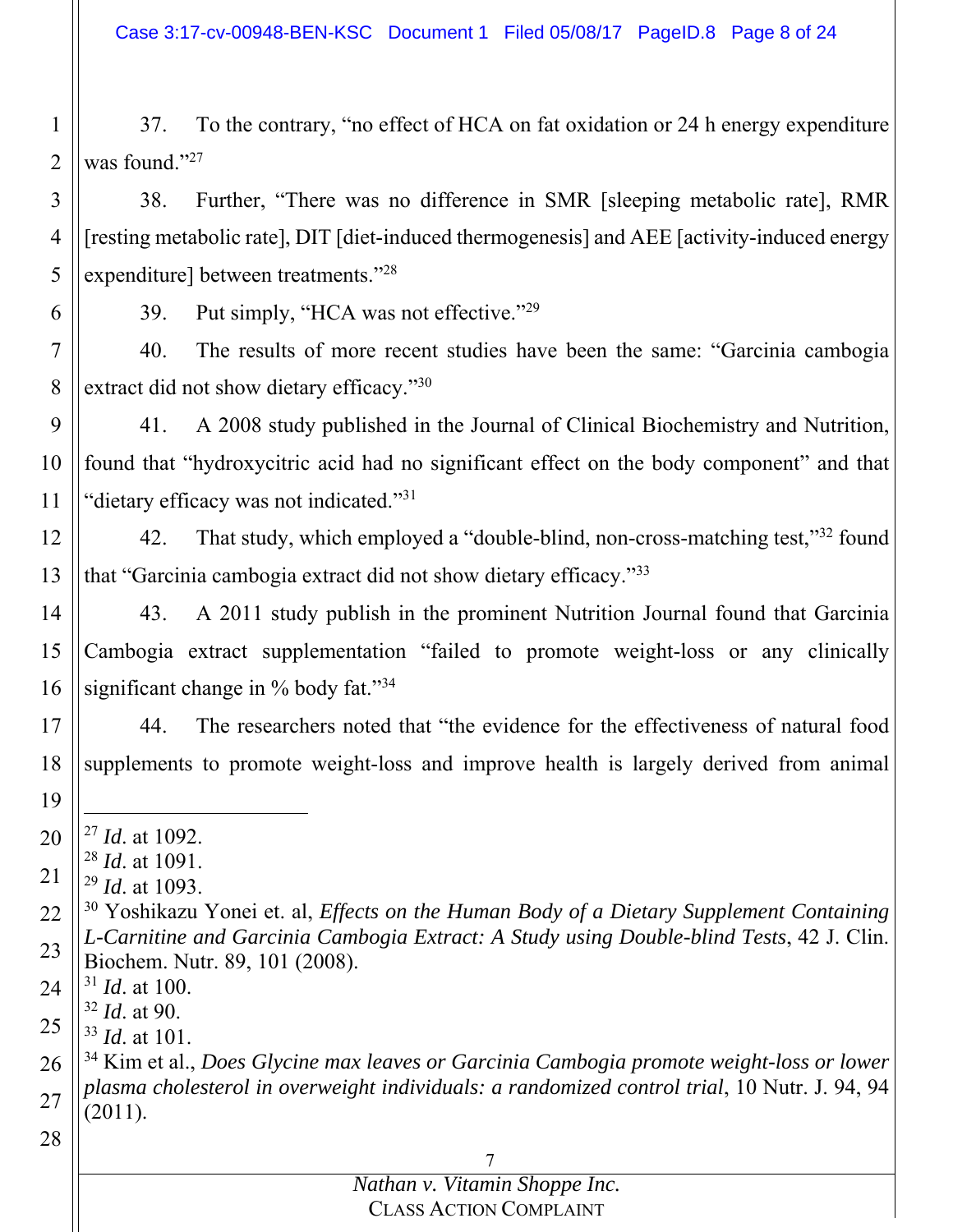1 2 37. To the contrary, "no effect of HCA on fat oxidation or 24 h energy expenditure was found." $27$ 

3 4 5 38. Further, "There was no difference in SMR [sleeping metabolic rate], RMR [resting metabolic rate], DIT [diet-induced thermogenesis] and AEE [activity-induced energy expenditure] between treatments."28

39. Put simply, "HCA was not effective."<sup>29</sup>

7 8 40. The results of more recent studies have been the same: "Garcinia cambogia extract did not show dietary efficacy."<sup>30</sup>

9 10 11 41. A 2008 study published in the Journal of Clinical Biochemistry and Nutrition, found that "hydroxycitric acid had no significant effect on the body component" and that "dietary efficacy was not indicated."31

12 13 42. That study, which employed a "double-blind, non-cross-matching test,"<sup>32</sup> found that "Garcinia cambogia extract did not show dietary efficacy."33

14 15 16 43. A 2011 study publish in the prominent Nutrition Journal found that Garcinia Cambogia extract supplementation "failed to promote weight-loss or any clinically significant change in % body fat."34

17 18 44. The researchers noted that "the evidence for the effectiveness of natural food supplements to promote weight-loss and improve health is largely derived from animal

20 -<sup>27</sup> *Id*. at 1092.

<sup>28</sup> *Id*. at 1091.

21 <sup>29</sup> *Id*. at 1093.

22 23 30 Yoshikazu Yonei et. al, *Effects on the Human Body of a Dietary Supplement Containing L-Carnitine and Garcinia Cambogia Extract: A Study using Double-blind Tests*, 42 J. Clin. Biochem. Nutr. 89, 101 (2008).

24 <sup>31</sup> *Id*. at 100.

<sup>32</sup> *Id*. at 90.

25 <sup>33</sup> *Id*. at 101.

26 27 34 Kim et al., *Does Glycine max leaves or Garcinia Cambogia promote weight-loss or lower plasma cholesterol in overweight individuals: a randomized control trial*, 10 Nutr. J. 94, 94 (2011).

28

19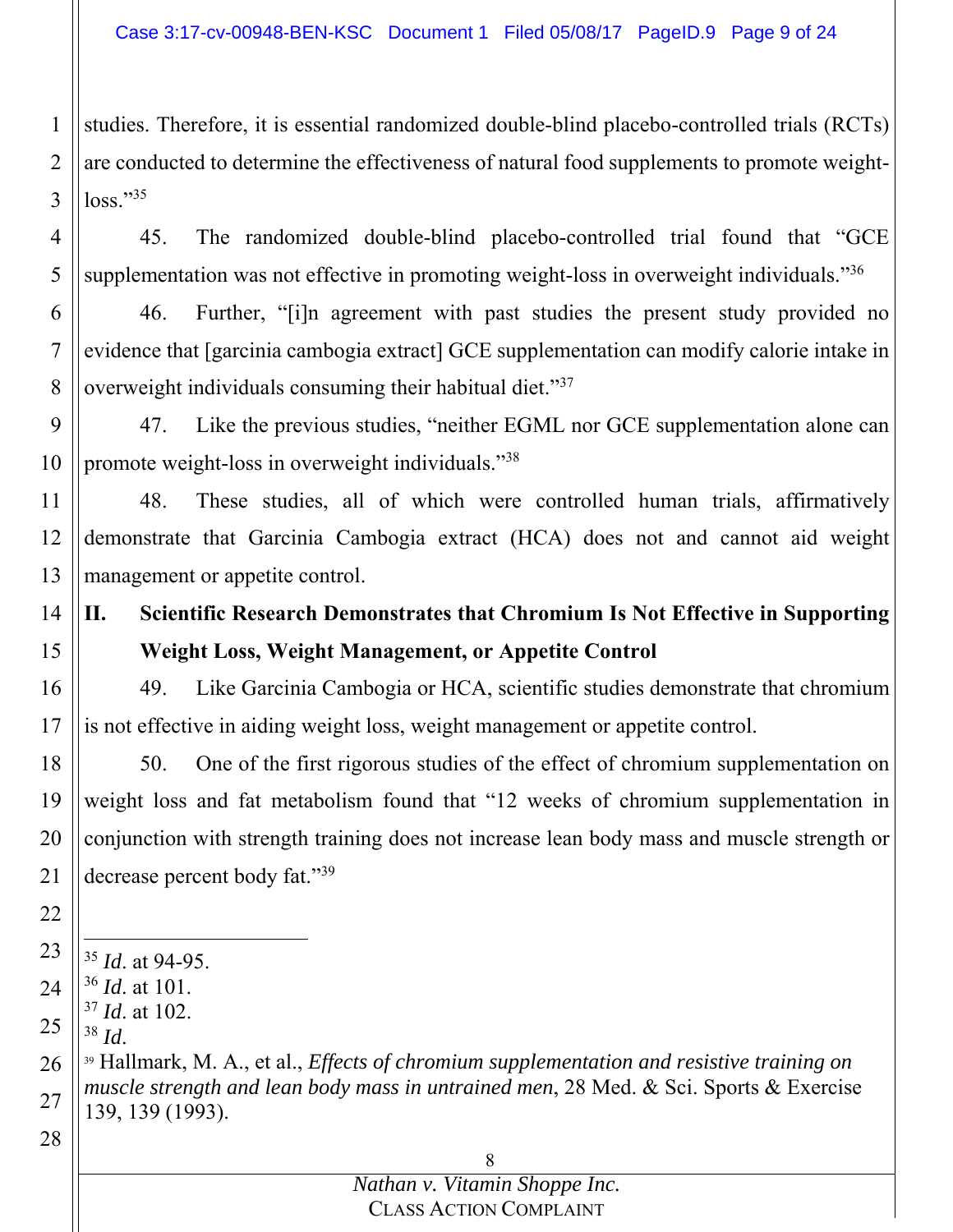1 2 3 studies. Therefore, it is essential randomized double-blind placebo-controlled trials (RCTs) are conducted to determine the effectiveness of natural food supplements to promote weightloss."35

4 5 45. The randomized double-blind placebo-controlled trial found that "GCE supplementation was not effective in promoting weight-loss in overweight individuals."<sup>36</sup>

6 7 8 46. Further, "[i]n agreement with past studies the present study provided no evidence that [garcinia cambogia extract] GCE supplementation can modify calorie intake in overweight individuals consuming their habitual diet."37

9 10 47. Like the previous studies, "neither EGML nor GCE supplementation alone can promote weight-loss in overweight individuals."38

11 12 13 48. These studies, all of which were controlled human trials, affirmatively demonstrate that Garcinia Cambogia extract (HCA) does not and cannot aid weight management or appetite control.

#### 14 15 **II. Scientific Research Demonstrates that Chromium Is Not Effective in Supporting Weight Loss, Weight Management, or Appetite Control**

16 17 49. Like Garcinia Cambogia or HCA, scientific studies demonstrate that chromium is not effective in aiding weight loss, weight management or appetite control.

18 19 20 21 50. One of the first rigorous studies of the effect of chromium supplementation on weight loss and fat metabolism found that "12 weeks of chromium supplementation in conjunction with strength training does not increase lean body mass and muscle strength or decrease percent body fat."39

- 23 -<sup>35</sup> *Id*. at 94-95.
- 24 <sup>36</sup> *Id*. at 101.
	- <sup>37</sup> *Id*. at 102.
- 25

28

22

26 27 <sup>38</sup> *Id*.<br><sup>39</sup> Hallmark, M. A., et al., *Effects of chromium supplementation and resistive training on muscle strength and lean body mass in untrained men*, 28 Med. & Sci. Sports & Exercise 139, 139 (1993).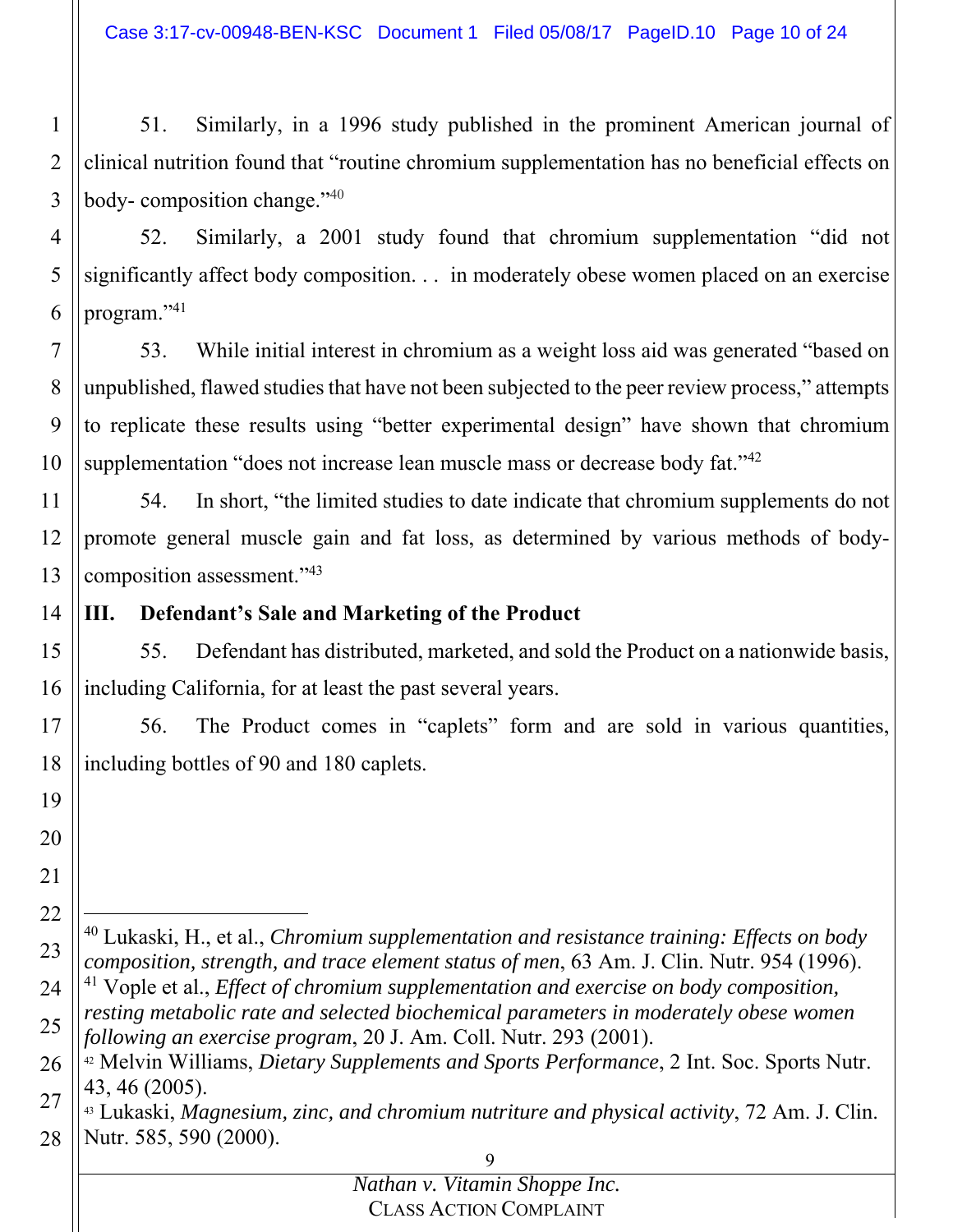Case 3:17-cv-00948-BEN-KSC Document 1 Filed 05/08/17 PageID.10 Page 10 of 24

1 2 3 51. Similarly, in a 1996 study published in the prominent American journal of clinical nutrition found that "routine chromium supplementation has no beneficial effects on body- composition change."40

4 5 6 52. Similarly, a 2001 study found that chromium supplementation "did not significantly affect body composition. . . in moderately obese women placed on an exercise program."41

7 8 9 10 53. While initial interest in chromium as a weight loss aid was generated "based on unpublished, flawed studies that have not been subjected to the peer review process," attempts to replicate these results using "better experimental design" have shown that chromium supplementation "does not increase lean muscle mass or decrease body fat."<sup>42</sup>

11 12 13 54. In short, "the limited studies to date indicate that chromium supplements do not promote general muscle gain and fat loss, as determined by various methods of bodycomposition assessment."43

14 **III. Defendant's Sale and Marketing of the Product** 

19

20

21

22

 $\overline{a}$ 

15 16 55. Defendant has distributed, marketed, and sold the Product on a nationwide basis, including California, for at least the past several years.

17 18 56. The Product comes in "caplets" form and are sold in various quantities, including bottles of 90 and 180 caplets.

23 40 Lukaski, H., et al., *Chromium supplementation and resistance training: Effects on body composition, strength, and trace element status of men*, 63 Am. J. Clin. Nutr. 954 (1996). 41 Vople et al., *Effect of chromium supplementation and exercise on body composition,* 

24 25 *resting metabolic rate and selected biochemical parameters in moderately obese women following an exercise program*, 20 J. Am. Coll. Nutr. 293 (2001). 42 Melvin Williams, *Dietary Supplements and Sports Performance*, 2 Int. Soc. Sports Nutr.

<sup>26</sup> 27 43, 46 (2005).

<sup>28</sup> 43 Lukaski, *Magnesium, zinc, and chromium nutriture and physical activity*, 72 Am. J. Clin. Nutr. 585, 590 (2000).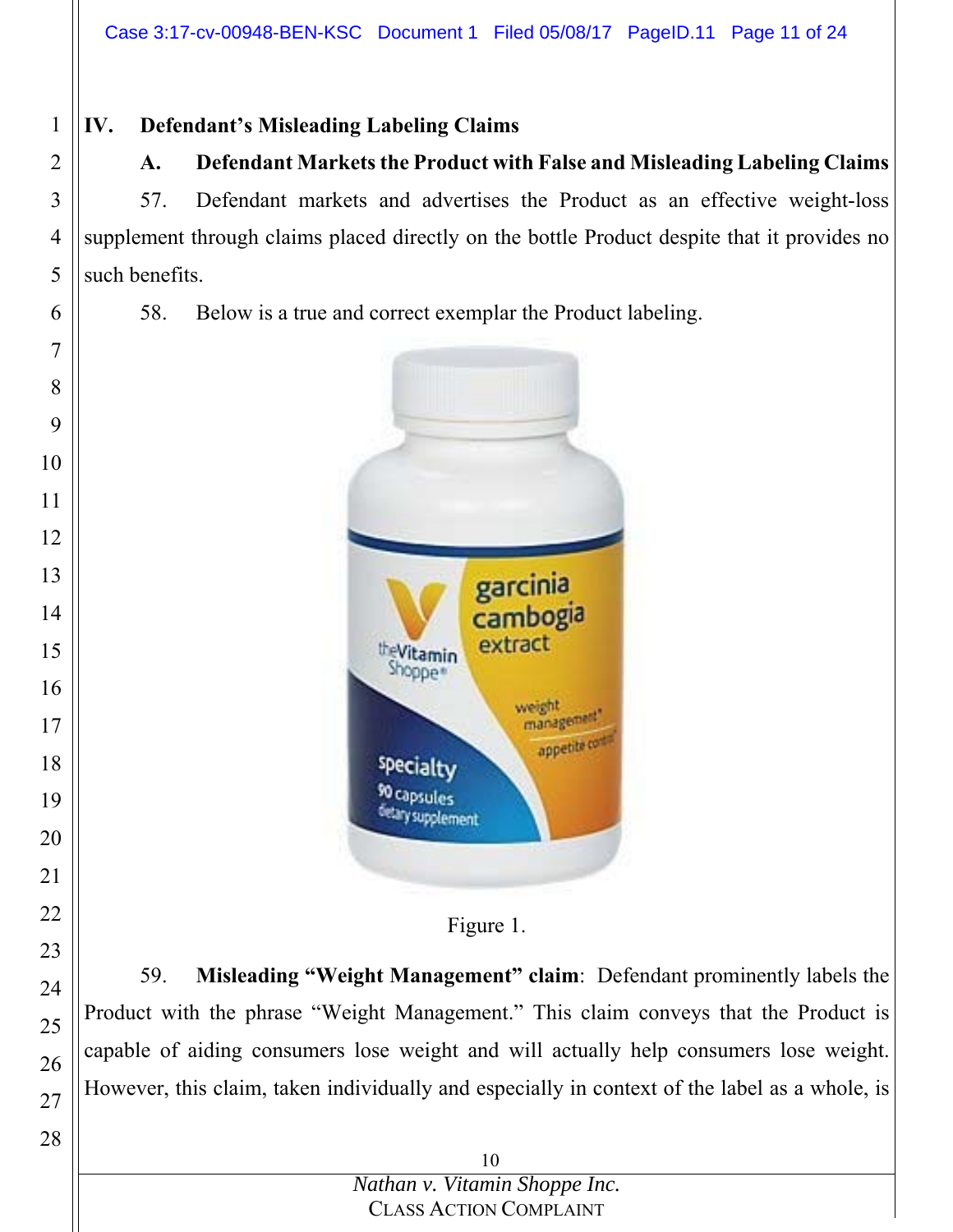# **IV. Defendant's Misleading Labeling Claims**

# **A. Defendant Markets the Product with False and Misleading Labeling Claims**

57. Defendant markets and advertises the Product as an effective weight-loss supplement through claims placed directly on the bottle Product despite that it provides no such benefits.

58. Below is a true and correct exemplar the Product labeling.



Figure 1.

59. **Misleading "Weight Management" claim**: Defendant prominently labels the Product with the phrase "Weight Management." This claim conveys that the Product is capable of aiding consumers lose weight and will actually help consumers lose weight. However, this claim, taken individually and especially in context of the label as a whole, is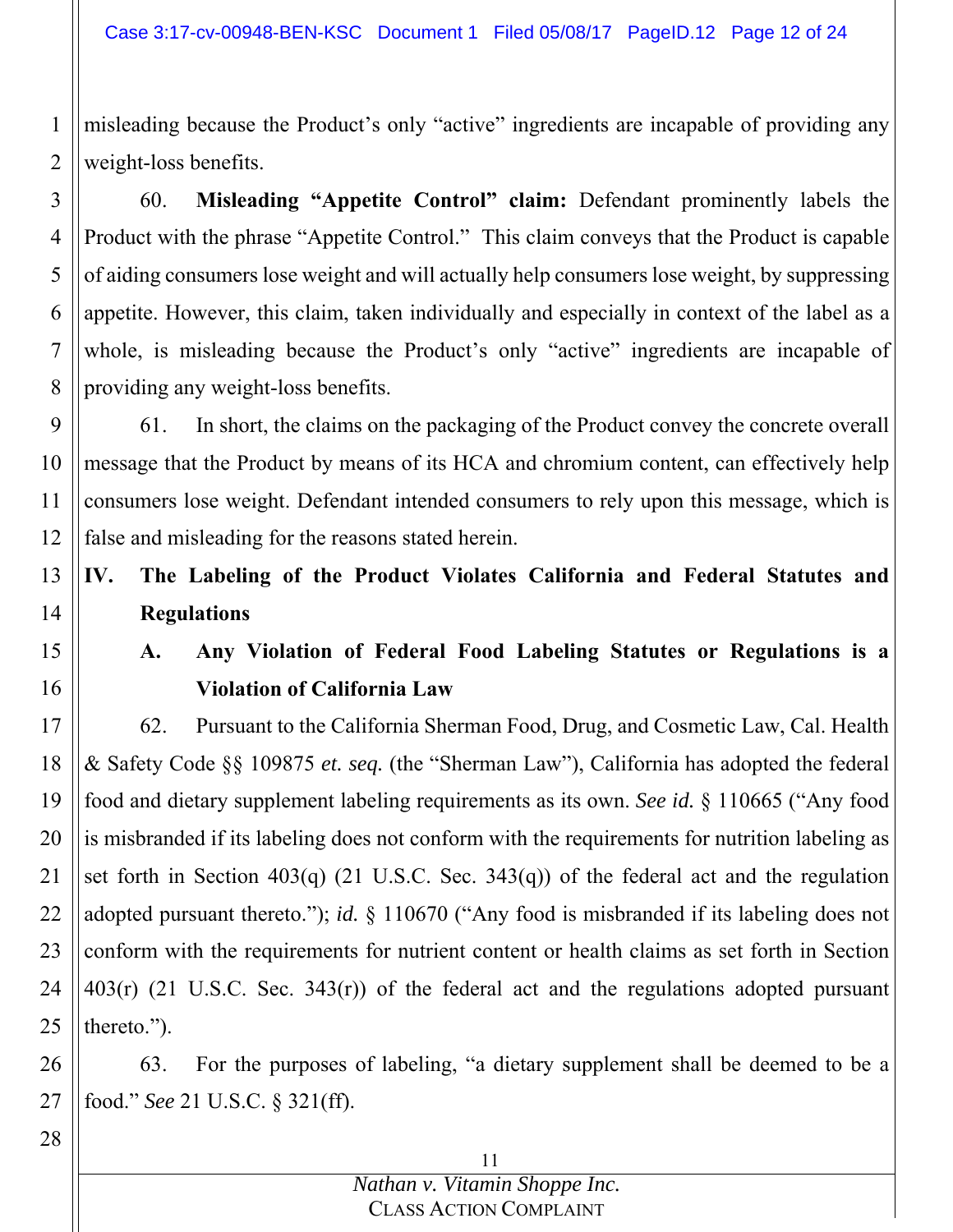misleading because the Product's only "active" ingredients are incapable of providing any weight-loss benefits.

3 4 5 6 7 8 60. **Misleading "Appetite Control" claim:** Defendant prominently labels the Product with the phrase "Appetite Control." This claim conveys that the Product is capable of aiding consumers lose weight and will actually help consumers lose weight, by suppressing appetite. However, this claim, taken individually and especially in context of the label as a whole, is misleading because the Product's only "active" ingredients are incapable of providing any weight-loss benefits.

9 10 11 12 61. In short, the claims on the packaging of the Product convey the concrete overall message that the Product by means of its HCA and chromium content, can effectively help consumers lose weight. Defendant intended consumers to rely upon this message, which is false and misleading for the reasons stated herein.

#### 13 14 **IV. The Labeling of the Product Violates California and Federal Statutes and Regulations**

15 16

1

2

# **A. Any Violation of Federal Food Labeling Statutes or Regulations is a Violation of California Law**

17 18 19 20 21 22 23 24 25 62. Pursuant to the California Sherman Food, Drug, and Cosmetic Law, Cal. Health & Safety Code §§ 109875 *et. seq.* (the "Sherman Law"), California has adopted the federal food and dietary supplement labeling requirements as its own. *See id.* § 110665 ("Any food is misbranded if its labeling does not conform with the requirements for nutrition labeling as set forth in Section 403(q) (21 U.S.C. Sec. 343(q)) of the federal act and the regulation adopted pursuant thereto."); *id.* § 110670 ("Any food is misbranded if its labeling does not conform with the requirements for nutrient content or health claims as set forth in Section  $403(r)$  (21 U.S.C. Sec.  $343(r)$ ) of the federal act and the regulations adopted pursuant thereto.").

26 27 63. For the purposes of labeling, "a dietary supplement shall be deemed to be a food." *See* 21 U.S.C. § 321(ff).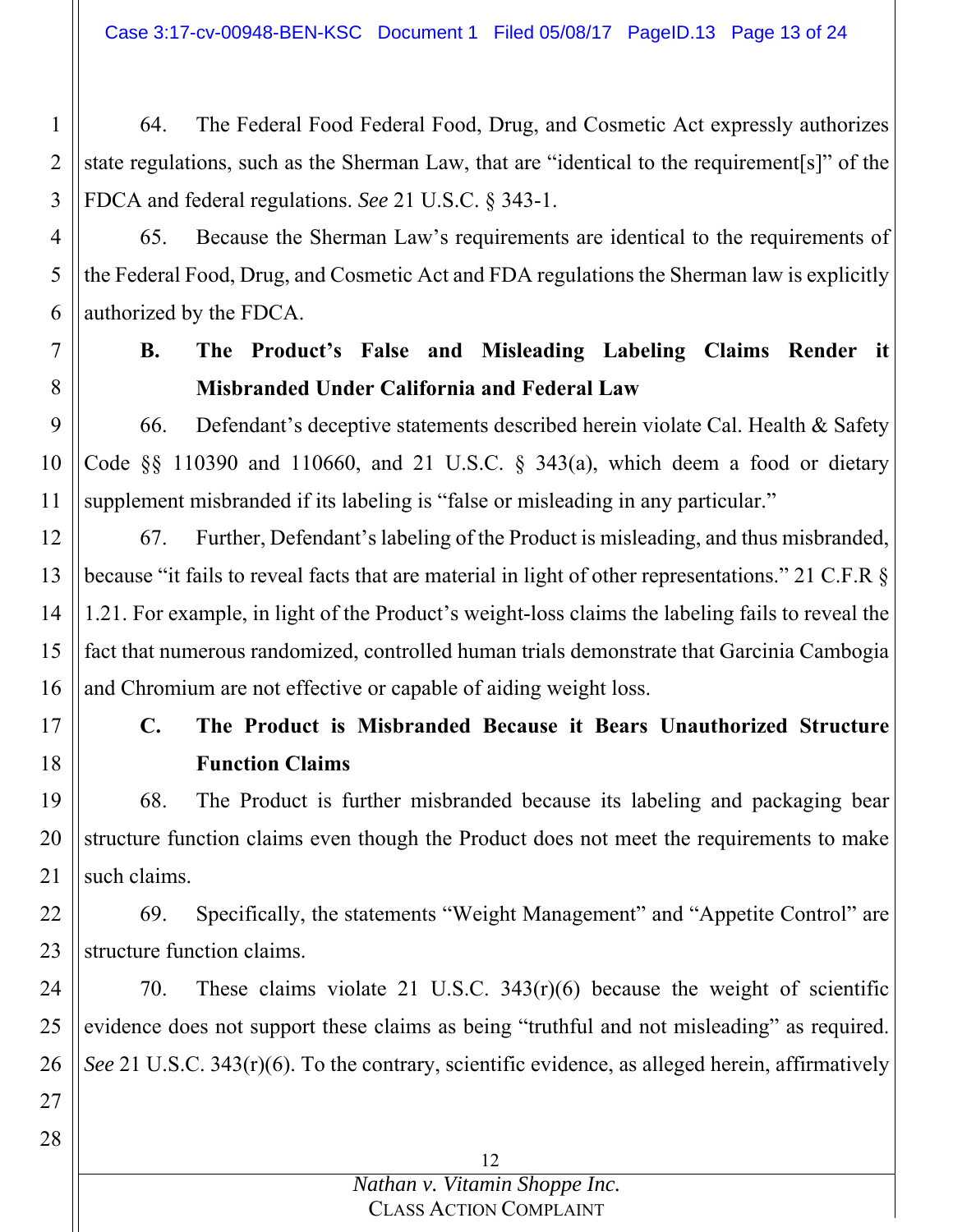Case 3:17-cv-00948-BEN-KSC Document 1 Filed 05/08/17 PageID.13 Page 13 of 24

64. The Federal Food Federal Food, Drug, and Cosmetic Act expressly authorizes state regulations, such as the Sherman Law, that are "identical to the requirement[s]" of the FDCA and federal regulations. *See* 21 U.S.C. § 343-1.

- 4 5 6 65. Because the Sherman Law's requirements are identical to the requirements of the Federal Food, Drug, and Cosmetic Act and FDA regulations the Sherman law is explicitly authorized by the FDCA.
- 7 8

1

2

3

# **B. The Product's False and Misleading Labeling Claims Render it Misbranded Under California and Federal Law**

9 10 11 66. Defendant's deceptive statements described herein violate Cal. Health & Safety Code §§ 110390 and 110660, and 21 U.S.C. § 343(a), which deem a food or dietary supplement misbranded if its labeling is "false or misleading in any particular."

12 13 14 15 16 67. Further, Defendant's labeling of the Product is misleading, and thus misbranded, because "it fails to reveal facts that are material in light of other representations." 21 C.F.R § 1.21. For example, in light of the Product's weight-loss claims the labeling fails to reveal the fact that numerous randomized, controlled human trials demonstrate that Garcinia Cambogia and Chromium are not effective or capable of aiding weight loss.

17

18

# **C. The Product is Misbranded Because it Bears Unauthorized Structure Function Claims**

19 20 21 68. The Product is further misbranded because its labeling and packaging bear structure function claims even though the Product does not meet the requirements to make such claims.

22 23 69. Specifically, the statements "Weight Management" and "Appetite Control" are structure function claims.

24 25 26 70. These claims violate 21 U.S.C. 343(r)(6) because the weight of scientific evidence does not support these claims as being "truthful and not misleading" as required. *See* 21 U.S.C. 343(r)(6). To the contrary, scientific evidence, as alleged herein, affirmatively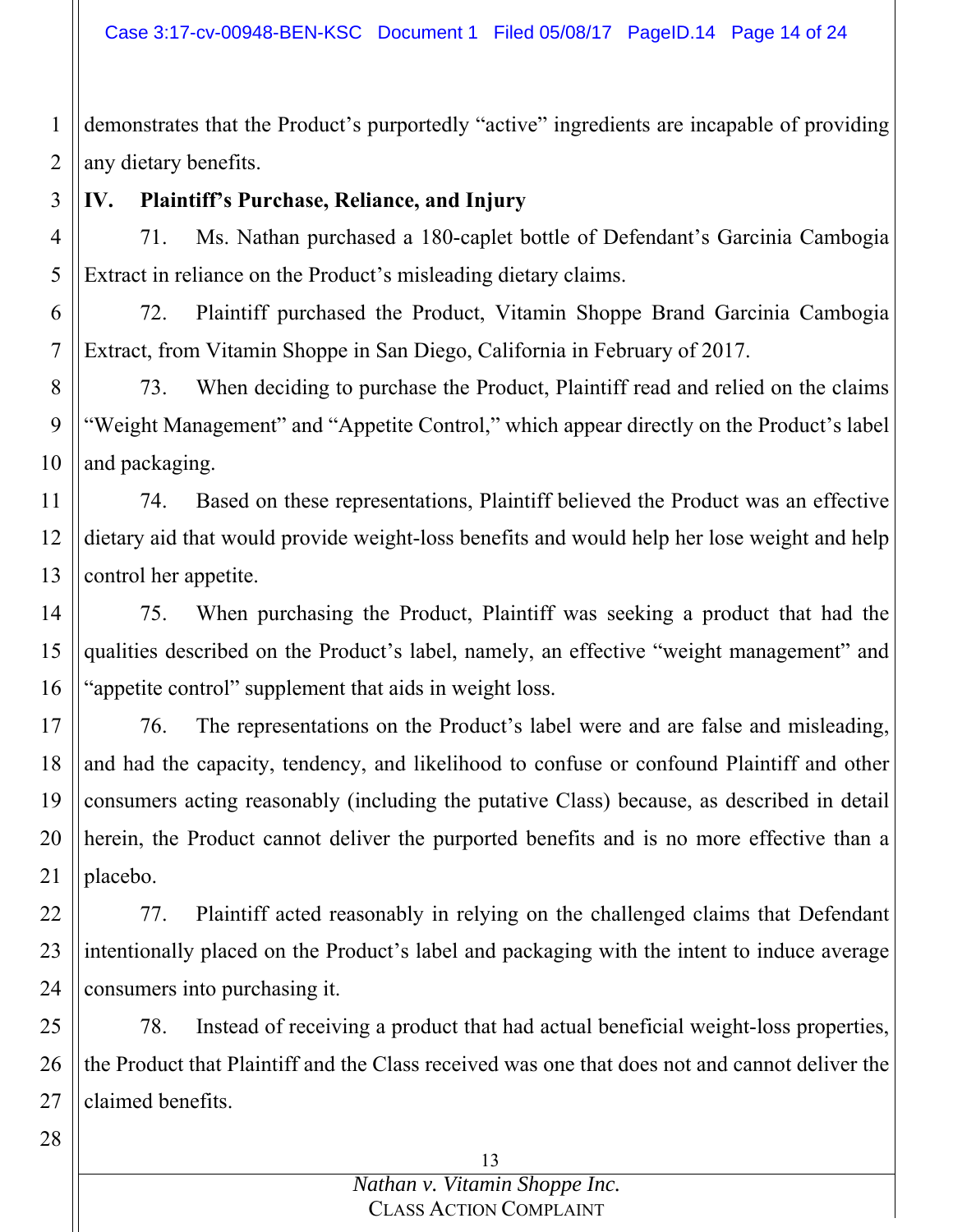1 2 demonstrates that the Product's purportedly "active" ingredients are incapable of providing any dietary benefits.

3 **IV. Plaintiff's Purchase, Reliance, and Injury** 

4 5 71. Ms. Nathan purchased a 180-caplet bottle of Defendant's Garcinia Cambogia Extract in reliance on the Product's misleading dietary claims.

6 7 72. Plaintiff purchased the Product, Vitamin Shoppe Brand Garcinia Cambogia Extract, from Vitamin Shoppe in San Diego, California in February of 2017.

8 9 10 73. When deciding to purchase the Product, Plaintiff read and relied on the claims "Weight Management" and "Appetite Control," which appear directly on the Product's label and packaging.

11 12 13 74. Based on these representations, Plaintiff believed the Product was an effective dietary aid that would provide weight-loss benefits and would help her lose weight and help control her appetite.

14 15 16 75. When purchasing the Product, Plaintiff was seeking a product that had the qualities described on the Product's label, namely, an effective "weight management" and "appetite control" supplement that aids in weight loss.

17 18 19 20 21 76. The representations on the Product's label were and are false and misleading, and had the capacity, tendency, and likelihood to confuse or confound Plaintiff and other consumers acting reasonably (including the putative Class) because, as described in detail herein, the Product cannot deliver the purported benefits and is no more effective than a placebo.

22 23 24 77. Plaintiff acted reasonably in relying on the challenged claims that Defendant intentionally placed on the Product's label and packaging with the intent to induce average consumers into purchasing it.

25 26 27 78. Instead of receiving a product that had actual beneficial weight-loss properties, the Product that Plaintiff and the Class received was one that does not and cannot deliver the claimed benefits.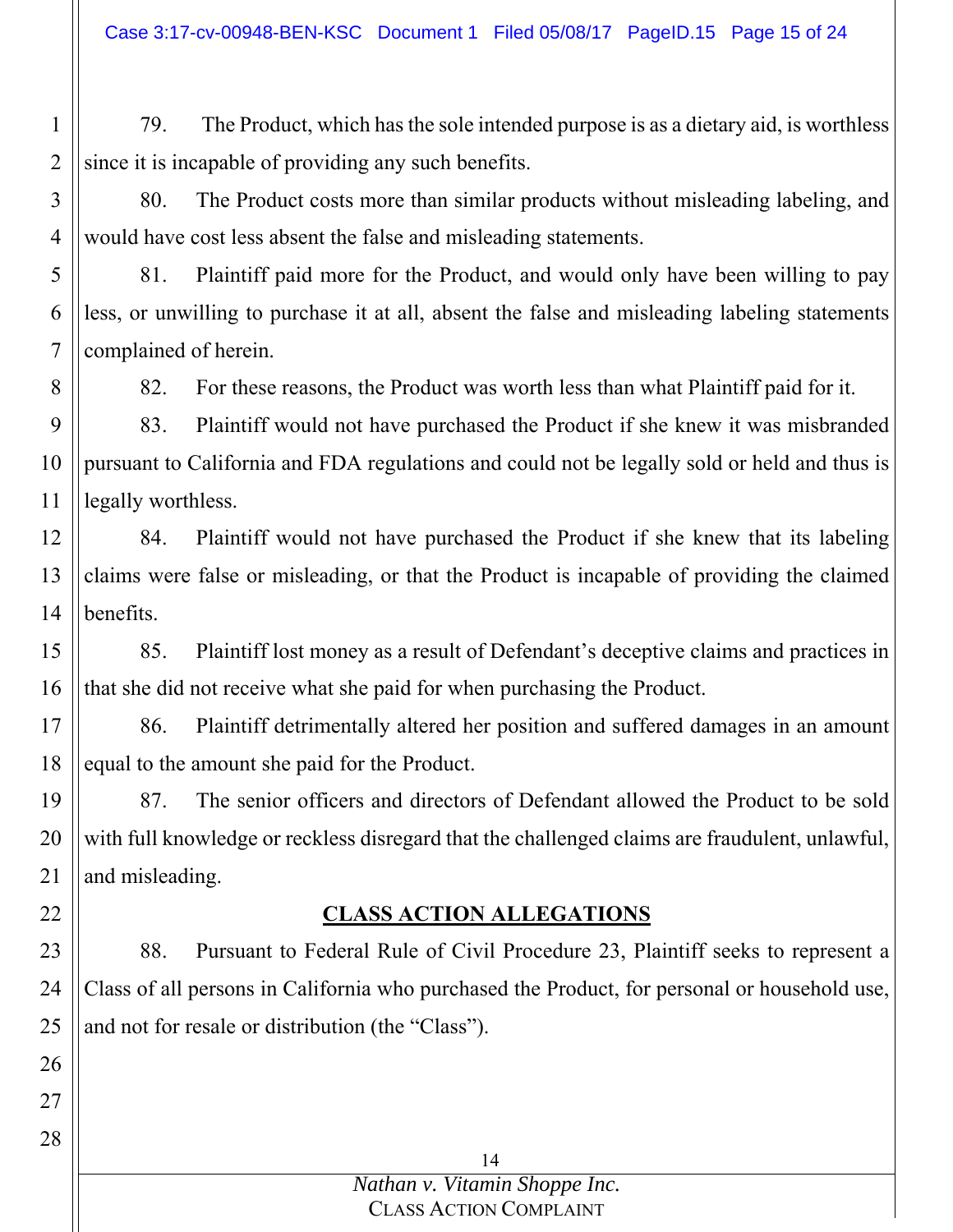1 2 79. The Product, which has the sole intended purpose is as a dietary aid, is worthless since it is incapable of providing any such benefits.

3 4 80. The Product costs more than similar products without misleading labeling, and would have cost less absent the false and misleading statements.

5 6 7 81. Plaintiff paid more for the Product, and would only have been willing to pay less, or unwilling to purchase it at all, absent the false and misleading labeling statements complained of herein.

82. For these reasons, the Product was worth less than what Plaintiff paid for it.

9 10 11 83. Plaintiff would not have purchased the Product if she knew it was misbranded pursuant to California and FDA regulations and could not be legally sold or held and thus is legally worthless.

8

22

26

27

28

12 13 14 84. Plaintiff would not have purchased the Product if she knew that its labeling claims were false or misleading, or that the Product is incapable of providing the claimed benefits.

15 16 85. Plaintiff lost money as a result of Defendant's deceptive claims and practices in that she did not receive what she paid for when purchasing the Product.

17 18 86. Plaintiff detrimentally altered her position and suffered damages in an amount equal to the amount she paid for the Product.

19 20 21 87. The senior officers and directors of Defendant allowed the Product to be sold with full knowledge or reckless disregard that the challenged claims are fraudulent, unlawful, and misleading.

# **CLASS ACTION ALLEGATIONS**

23 24 25 88. Pursuant to Federal Rule of Civil Procedure 23, Plaintiff seeks to represent a Class of all persons in California who purchased the Product, for personal or household use, and not for resale or distribution (the "Class").

> 14 *Nathan v. Vitamin Shoppe Inc.* CLASS ACTION COMPLAINT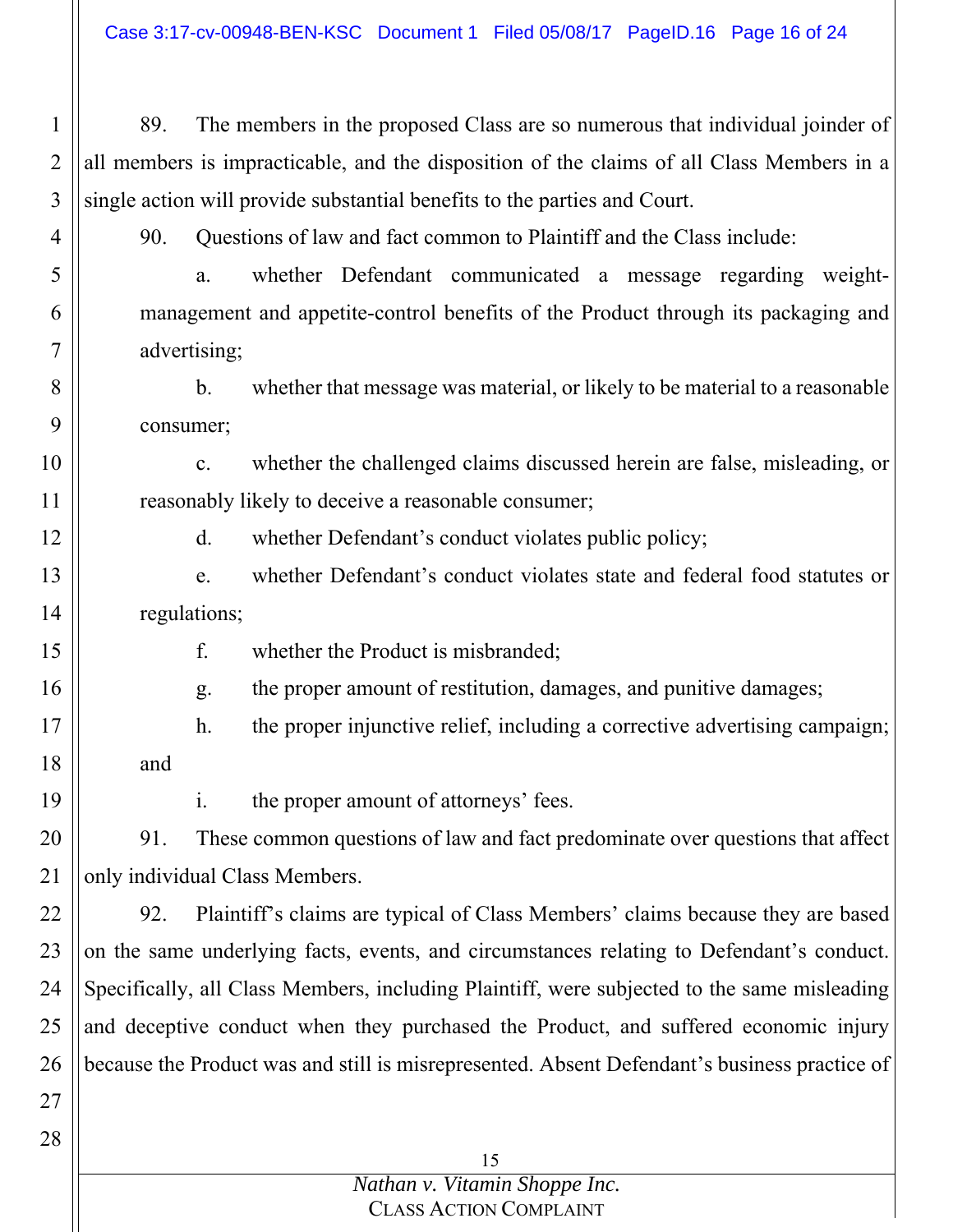| $\mathbf 1$    | 89.                                                                                          | The members in the proposed Class are so numerous that individual joinder of                  |  |
|----------------|----------------------------------------------------------------------------------------------|-----------------------------------------------------------------------------------------------|--|
| $\overline{2}$ | all members is impracticable, and the disposition of the claims of all Class Members in a    |                                                                                               |  |
| 3              | single action will provide substantial benefits to the parties and Court.                    |                                                                                               |  |
| 4              | 90.                                                                                          | Questions of law and fact common to Plaintiff and the Class include:                          |  |
| 5              |                                                                                              | whether Defendant communicated a message regarding<br>weight-<br>a.                           |  |
| 6              | management and appetite-control benefits of the Product through its packaging and            |                                                                                               |  |
| 7              | advertising;                                                                                 |                                                                                               |  |
| 8              |                                                                                              | $\mathbf{b}$ .<br>whether that message was material, or likely to be material to a reasonable |  |
| 9              | consumer;                                                                                    |                                                                                               |  |
| 10             |                                                                                              | whether the challenged claims discussed herein are false, misleading, or<br>c.                |  |
| 11             | reasonably likely to deceive a reasonable consumer;                                          |                                                                                               |  |
| 12             |                                                                                              | $\mathbf{d}$ .<br>whether Defendant's conduct violates public policy;                         |  |
| 13             |                                                                                              | whether Defendant's conduct violates state and federal food statutes or<br>e.                 |  |
| 14             | regulations;                                                                                 |                                                                                               |  |
| 15             |                                                                                              | f.<br>whether the Product is misbranded;                                                      |  |
| 16             |                                                                                              | the proper amount of restitution, damages, and punitive damages;<br>g.                        |  |
| 17             |                                                                                              | the proper injunctive relief, including a corrective advertising campaign;<br>h.              |  |
| 18             | and                                                                                          |                                                                                               |  |
| 19             |                                                                                              | the proper amount of attorneys' fees.<br>1.                                                   |  |
| 20             | 91.                                                                                          | These common questions of law and fact predominate over questions that affect                 |  |
| 21             | only individual Class Members.                                                               |                                                                                               |  |
| 22             | 92.                                                                                          | Plaintiff's claims are typical of Class Members' claims because they are based                |  |
| 23             | on the same underlying facts, events, and circumstances relating to Defendant's conduct.     |                                                                                               |  |
| 24             | Specifically, all Class Members, including Plaintiff, were subjected to the same misleading  |                                                                                               |  |
| 25             | and deceptive conduct when they purchased the Product, and suffered economic injury          |                                                                                               |  |
| 26             | because the Product was and still is misrepresented. Absent Defendant's business practice of |                                                                                               |  |
|                |                                                                                              |                                                                                               |  |
| 27             |                                                                                              |                                                                                               |  |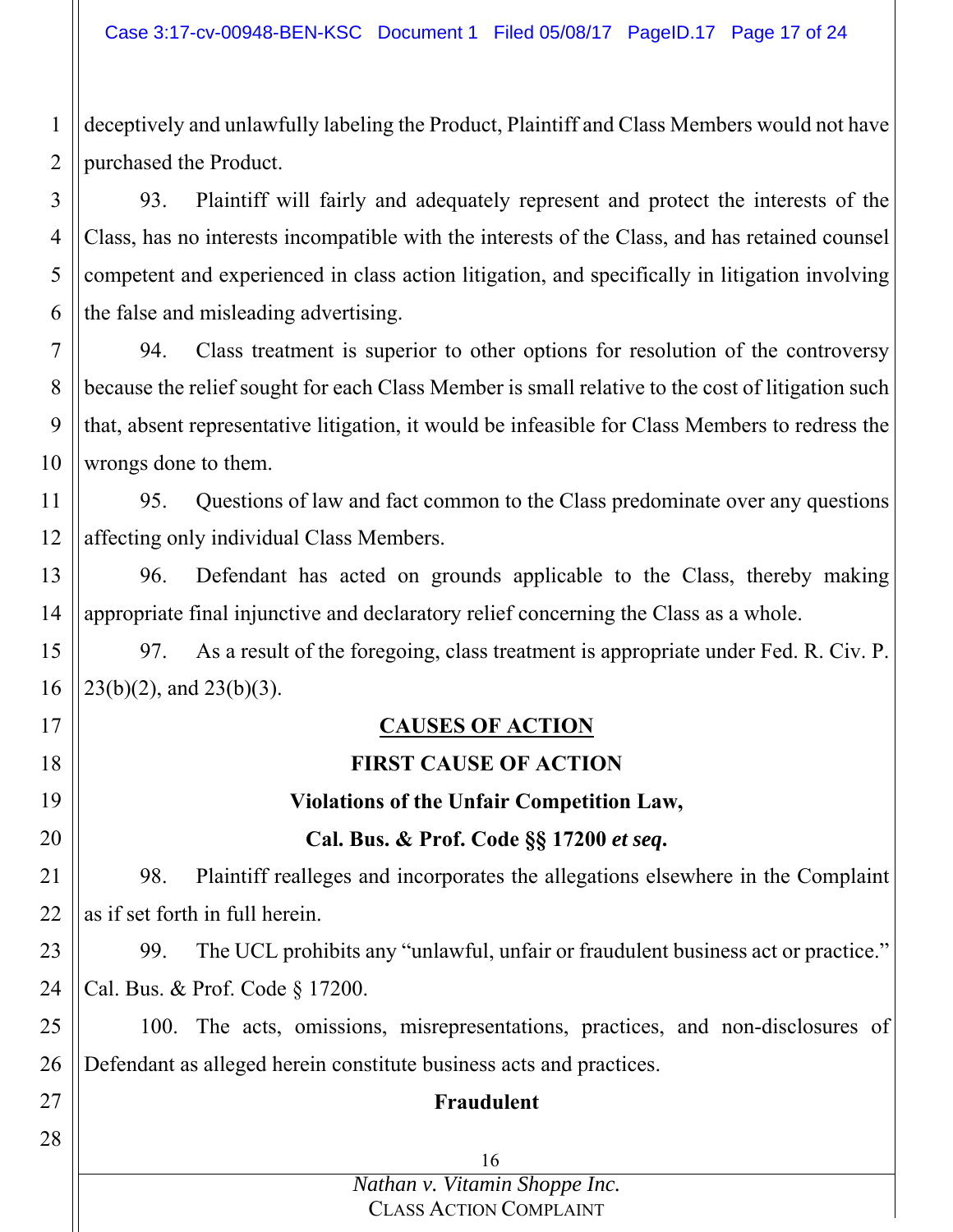2 deceptively and unlawfully labeling the Product, Plaintiff and Class Members would not have purchased the Product.

1

3 4 5 6 93. Plaintiff will fairly and adequately represent and protect the interests of the Class, has no interests incompatible with the interests of the Class, and has retained counsel competent and experienced in class action litigation, and specifically in litigation involving the false and misleading advertising.

7 8 9 10 94. Class treatment is superior to other options for resolution of the controversy because the relief sought for each Class Member is small relative to the cost of litigation such that, absent representative litigation, it would be infeasible for Class Members to redress the wrongs done to them.

11 12 95. Questions of law and fact common to the Class predominate over any questions affecting only individual Class Members.

13 14 96. Defendant has acted on grounds applicable to the Class, thereby making appropriate final injunctive and declaratory relief concerning the Class as a whole.

15 16 97. As a result of the foregoing, class treatment is appropriate under Fed. R. Civ. P. 23(b)(2), and 23(b)(3).

| 17 |                                                                     | <b>CAUSES OF ACTION</b>                                                          |  |
|----|---------------------------------------------------------------------|----------------------------------------------------------------------------------|--|
| 18 |                                                                     | <b>FIRST CAUSE OF ACTION</b>                                                     |  |
| 19 | <b>Violations of the Unfair Competition Law,</b>                    |                                                                                  |  |
| 20 | Cal. Bus. & Prof. Code §§ 17200 et seq.                             |                                                                                  |  |
| 21 | 98.                                                                 | Plaintiff realleges and incorporates the allegations elsewhere in the Complaint  |  |
| 22 | as if set forth in full herein.                                     |                                                                                  |  |
| 23 | 99.                                                                 | The UCL prohibits any "unlawful, unfair or fraudulent business act or practice." |  |
| 24 | Cal. Bus. & Prof. Code § 17200.                                     |                                                                                  |  |
| 25 |                                                                     | 100. The acts, omissions, misrepresentations, practices, and non-disclosures of  |  |
| 26 | Defendant as alleged herein constitute business acts and practices. |                                                                                  |  |
| 27 | Fraudulent                                                          |                                                                                  |  |
| 28 |                                                                     |                                                                                  |  |
|    |                                                                     | 16                                                                               |  |

*Nathan v. Vitamin Shoppe Inc.* CLASS ACTION COMPLAINT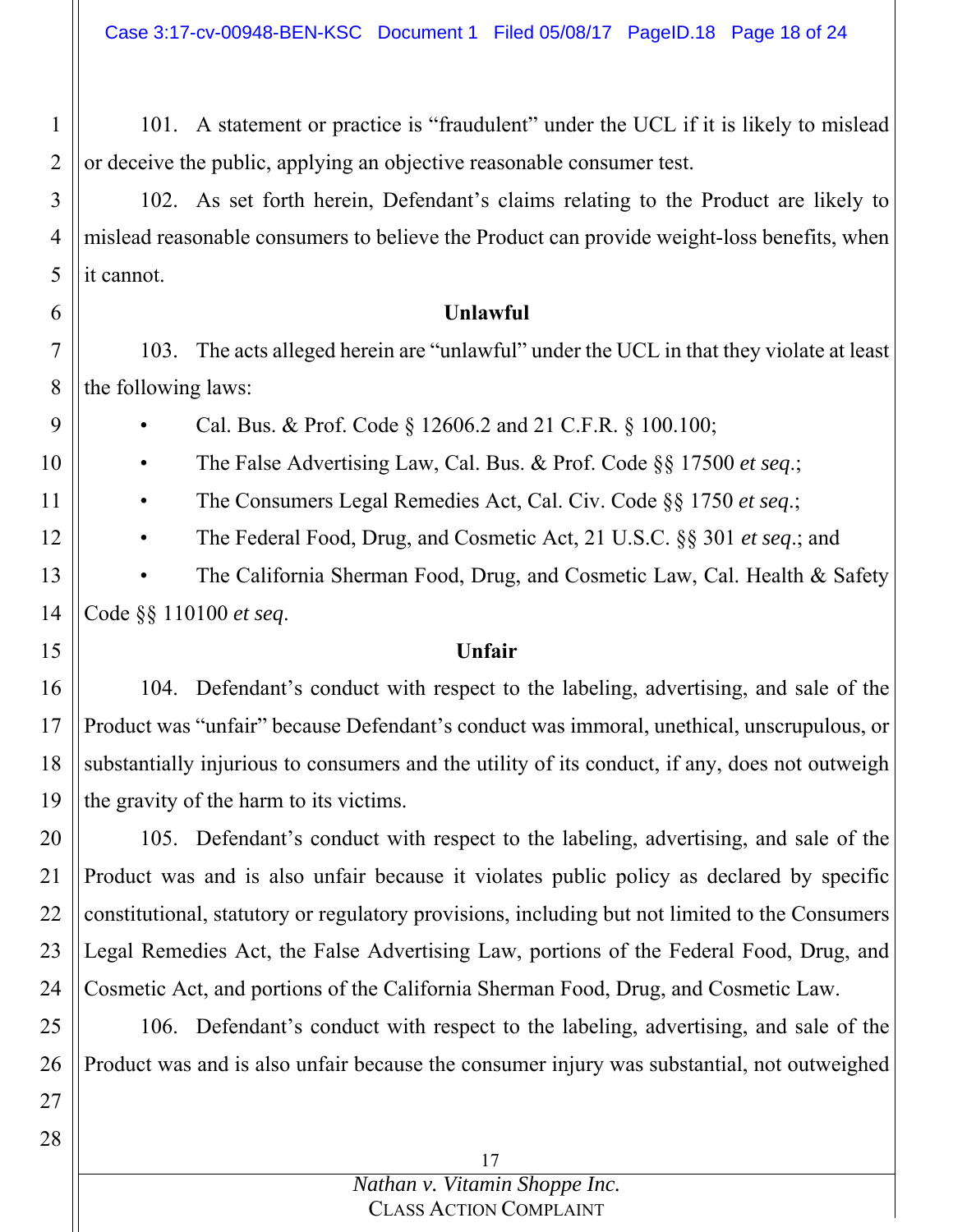101. A statement or practice is "fraudulent" under the UCL if it is likely to mislead or deceive the public, applying an objective reasonable consumer test.

4 5 102. As set forth herein, Defendant's claims relating to the Product are likely to mislead reasonable consumers to believe the Product can provide weight-loss benefits, when it cannot.

#### **Unlawful**

7 8 103. The acts alleged herein are "unlawful" under the UCL in that they violate at least the following laws:

• Cal. Bus. & Prof. Code § 12606.2 and 21 C.F.R. § 100.100;

• The False Advertising Law, Cal. Bus. & Prof. Code §§ 17500 *et seq*.;

• The Consumers Legal Remedies Act, Cal. Civ. Code §§ 1750 *et seq*.;

• The Federal Food, Drug, and Cosmetic Act, 21 U.S.C. §§ 301 *et seq*.; and

13 14 The California Sherman Food, Drug, and Cosmetic Law, Cal. Health & Safety Code §§ 110100 *et seq*.

## 15

1

2

3

6

9

10

11

12

### **Unfair**

16 17 18 19 104. Defendant's conduct with respect to the labeling, advertising, and sale of the Product was "unfair" because Defendant's conduct was immoral, unethical, unscrupulous, or substantially injurious to consumers and the utility of its conduct, if any, does not outweigh the gravity of the harm to its victims.

20 21 22 23 24 105. Defendant's conduct with respect to the labeling, advertising, and sale of the Product was and is also unfair because it violates public policy as declared by specific constitutional, statutory or regulatory provisions, including but not limited to the Consumers Legal Remedies Act, the False Advertising Law, portions of the Federal Food, Drug, and Cosmetic Act, and portions of the California Sherman Food, Drug, and Cosmetic Law.

25 26 106. Defendant's conduct with respect to the labeling, advertising, and sale of the Product was and is also unfair because the consumer injury was substantial, not outweighed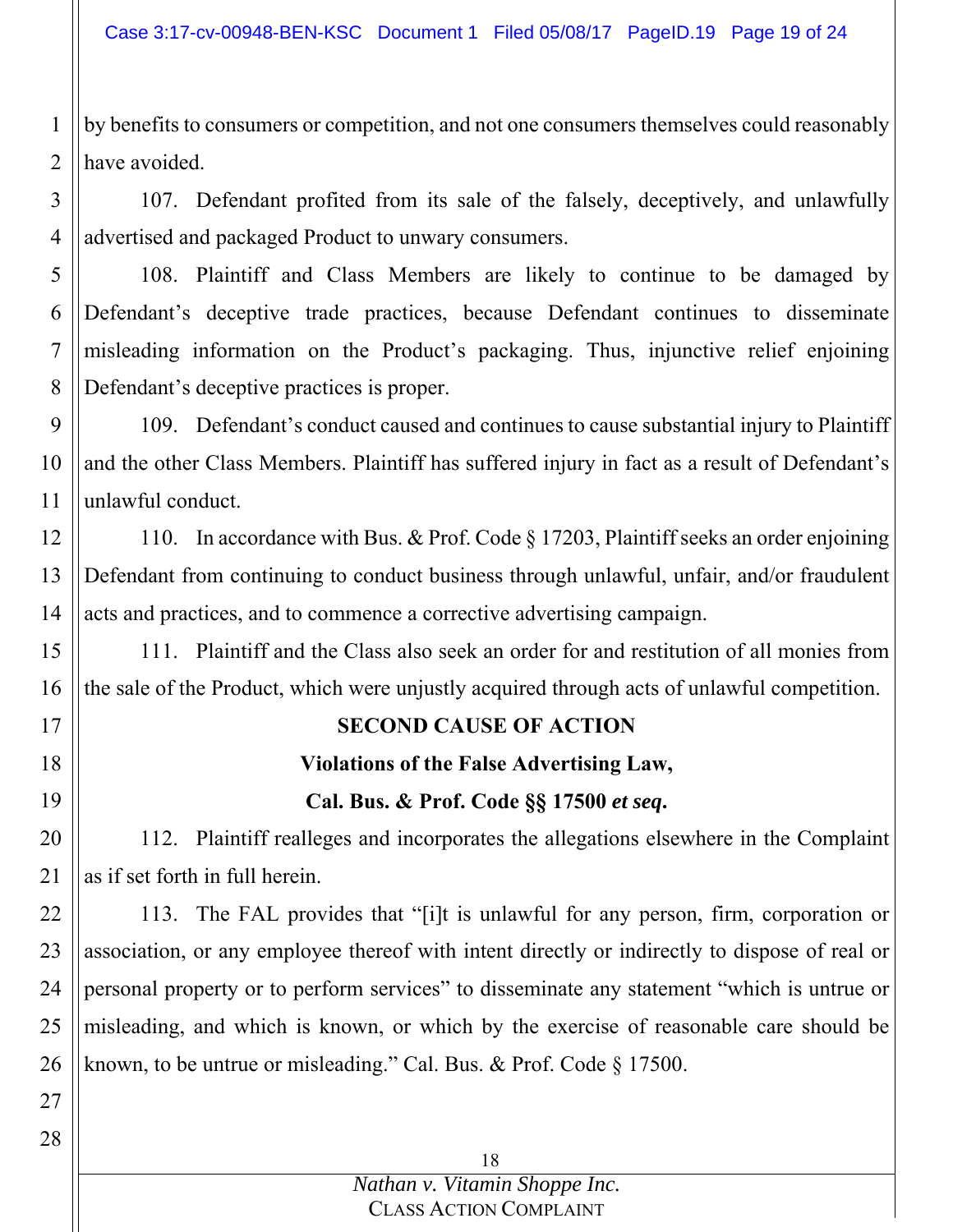1 2 by benefits to consumers or competition, and not one consumers themselves could reasonably have avoided.

3 4 107. Defendant profited from its sale of the falsely, deceptively, and unlawfully advertised and packaged Product to unwary consumers.

5 6 7 8 108. Plaintiff and Class Members are likely to continue to be damaged by Defendant's deceptive trade practices, because Defendant continues to disseminate misleading information on the Product's packaging. Thus, injunctive relief enjoining Defendant's deceptive practices is proper.

9 10 11 109. Defendant's conduct caused and continues to cause substantial injury to Plaintiff and the other Class Members. Plaintiff has suffered injury in fact as a result of Defendant's unlawful conduct.

12 13 14 110. In accordance with Bus. & Prof. Code § 17203, Plaintiff seeks an order enjoining Defendant from continuing to conduct business through unlawful, unfair, and/or fraudulent acts and practices, and to commence a corrective advertising campaign.

15 16 111. Plaintiff and the Class also seek an order for and restitution of all monies from the sale of the Product, which were unjustly acquired through acts of unlawful competition.

## 17

18

## 19

# **SECOND CAUSE OF ACTION Violations of the False Advertising Law,**

**Cal. Bus. & Prof. Code §§ 17500** *et seq***.** 

20 21 112. Plaintiff realleges and incorporates the allegations elsewhere in the Complaint as if set forth in full herein.

22 23 24 25 26 113. The FAL provides that "[i]t is unlawful for any person, firm, corporation or association, or any employee thereof with intent directly or indirectly to dispose of real or personal property or to perform services" to disseminate any statement "which is untrue or misleading, and which is known, or which by the exercise of reasonable care should be known, to be untrue or misleading." Cal. Bus. & Prof. Code § 17500.

27 28

> 18 *Nathan v. Vitamin Shoppe Inc.* CLASS ACTION COMPLAINT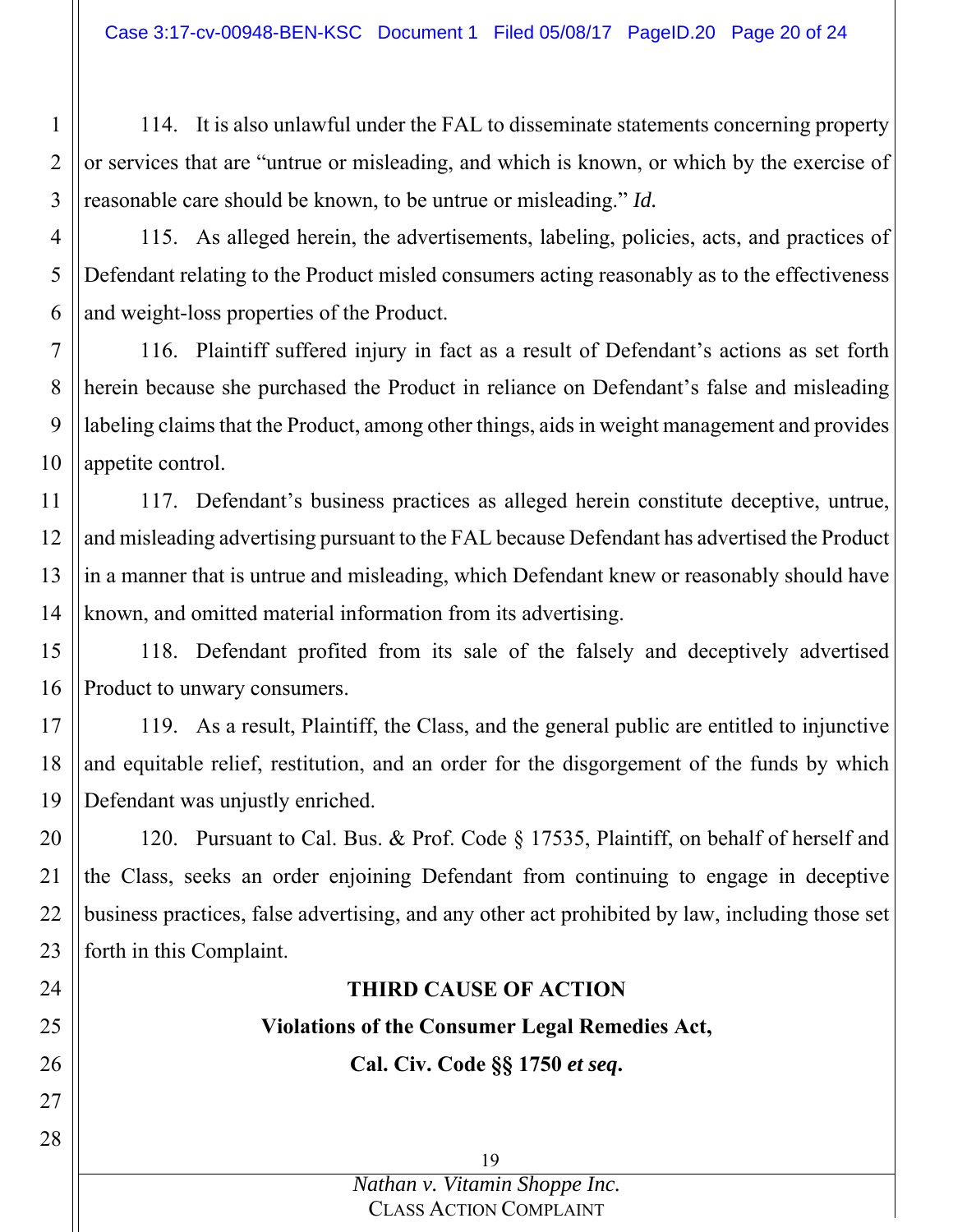114. It is also unlawful under the FAL to disseminate statements concerning property or services that are "untrue or misleading, and which is known, or which by the exercise of reasonable care should be known, to be untrue or misleading." *Id.*

4

1

2

3

5

24

25

26

27

28

6 115. As alleged herein, the advertisements, labeling, policies, acts, and practices of Defendant relating to the Product misled consumers acting reasonably as to the effectiveness and weight-loss properties of the Product.

7 8 9 10 116. Plaintiff suffered injury in fact as a result of Defendant's actions as set forth herein because she purchased the Product in reliance on Defendant's false and misleading labeling claims that the Product, among other things, aids in weight management and provides appetite control.

11 12 13 14 117. Defendant's business practices as alleged herein constitute deceptive, untrue, and misleading advertising pursuant to the FAL because Defendant has advertised the Product in a manner that is untrue and misleading, which Defendant knew or reasonably should have known, and omitted material information from its advertising.

15 16 118. Defendant profited from its sale of the falsely and deceptively advertised Product to unwary consumers.

17 18 19 119. As a result, Plaintiff, the Class, and the general public are entitled to injunctive and equitable relief, restitution, and an order for the disgorgement of the funds by which Defendant was unjustly enriched.

20 21 22 23 120. Pursuant to Cal. Bus. & Prof. Code § 17535, Plaintiff, on behalf of herself and the Class, seeks an order enjoining Defendant from continuing to engage in deceptive business practices, false advertising, and any other act prohibited by law, including those set forth in this Complaint.

## **THIRD CAUSE OF ACTION**

**Violations of the Consumer Legal Remedies Act,** 

**Cal. Civ. Code §§ 1750** *et seq***.**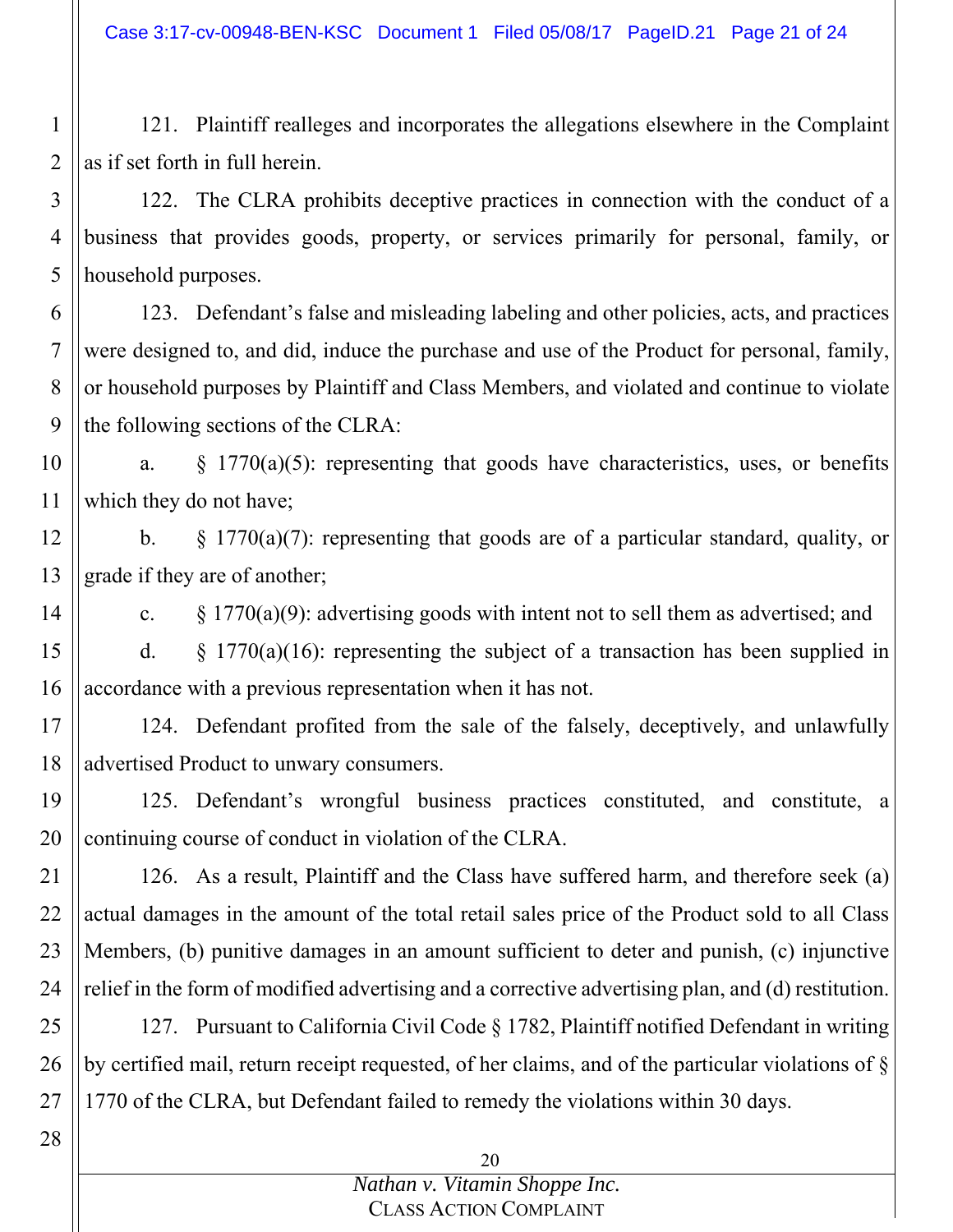Case 3:17-cv-00948-BEN-KSC Document 1 Filed 05/08/17 PageID.21 Page 21 of 24

1 2 121. Plaintiff realleges and incorporates the allegations elsewhere in the Complaint as if set forth in full herein.

3 4 5 122. The CLRA prohibits deceptive practices in connection with the conduct of a business that provides goods, property, or services primarily for personal, family, or household purposes.

6 7 8 9 123. Defendant's false and misleading labeling and other policies, acts, and practices were designed to, and did, induce the purchase and use of the Product for personal, family, or household purposes by Plaintiff and Class Members, and violated and continue to violate the following sections of the CLRA:

10 11 a.  $\frac{1770(a)(5)}{2}$ : representing that goods have characteristics, uses, or benefits which they do not have;

12 13 b.  $\S$  1770(a)(7): representing that goods are of a particular standard, quality, or grade if they are of another;

14 c.  $\S 1770(a)(9)$ : advertising goods with intent not to sell them as advertised; and

15 16 d.  $\&$  1770(a)(16): representing the subject of a transaction has been supplied in accordance with a previous representation when it has not.

17 18 124. Defendant profited from the sale of the falsely, deceptively, and unlawfully advertised Product to unwary consumers.

19 20 125. Defendant's wrongful business practices constituted, and constitute, a continuing course of conduct in violation of the CLRA.

21 22 23 24 126. As a result, Plaintiff and the Class have suffered harm, and therefore seek (a) actual damages in the amount of the total retail sales price of the Product sold to all Class Members, (b) punitive damages in an amount sufficient to deter and punish, (c) injunctive relief in the form of modified advertising and a corrective advertising plan, and (d) restitution.

25 26 27 127. Pursuant to California Civil Code § 1782, Plaintiff notified Defendant in writing by certified mail, return receipt requested, of her claims, and of the particular violations of § 1770 of the CLRA, but Defendant failed to remedy the violations within 30 days.

#### *Nathan v. Vitamin Shoppe Inc.* CLASS ACTION COMPLAINT

<sup>28</sup>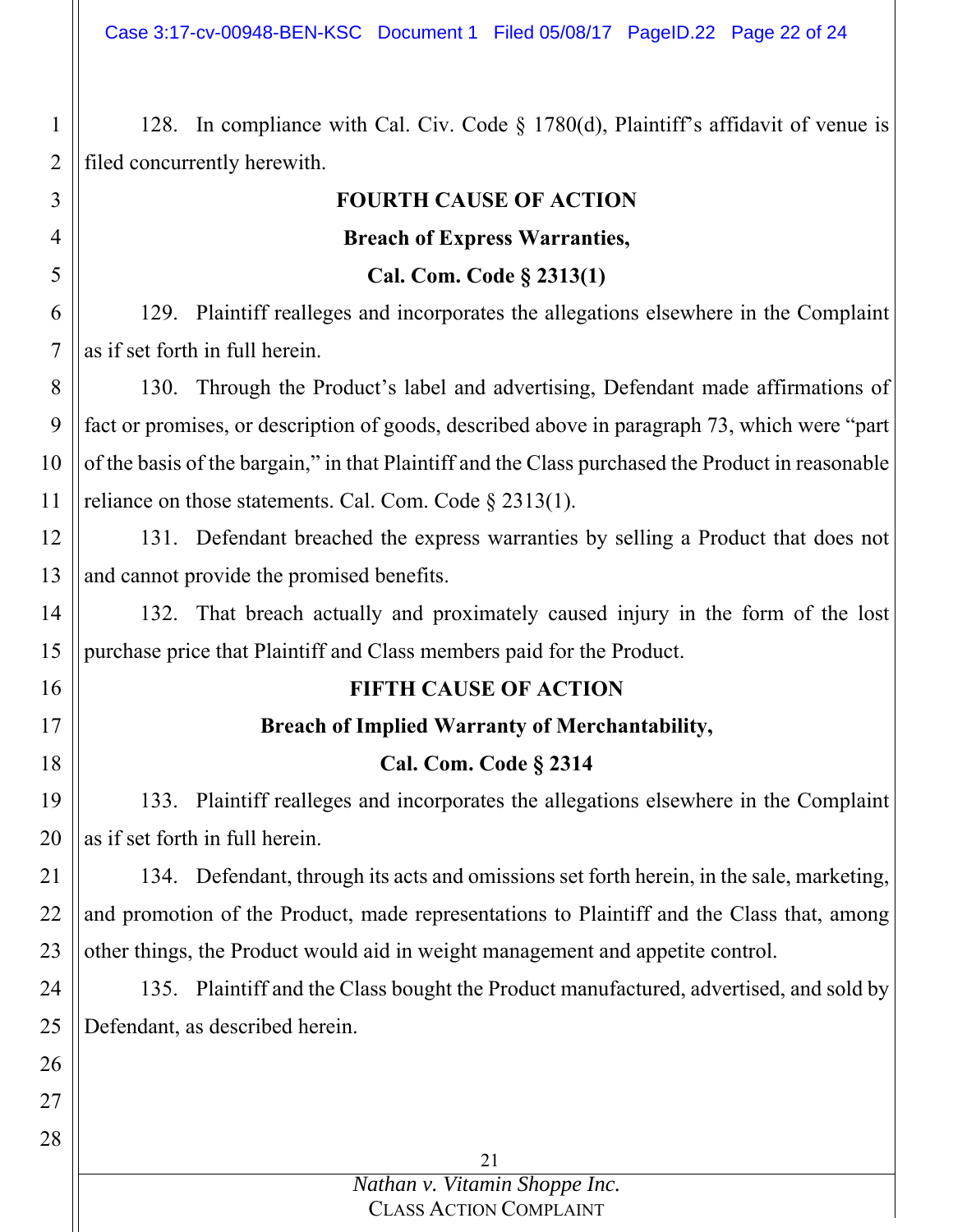Case 3:17-cv-00948-BEN-KSC Document 1 Filed 05/08/17 PageID.22 Page 22 of 24

128. In compliance with Cal. Civ. Code § 1780(d), Plaintiff's affidavit of venue is filed concurrently herewith.

1

2

#### 21 3 4 5 6 7 8 9 10 11 12 13 14 15 16 17 18 19 20 21 22 23 24 25 26 27 28 **FOURTH CAUSE OF ACTION Breach of Express Warranties, Cal. Com. Code § 2313(1)**  129. Plaintiff realleges and incorporates the allegations elsewhere in the Complaint as if set forth in full herein. 130. Through the Product's label and advertising, Defendant made affirmations of fact or promises, or description of goods, described above in paragraph 73, which were "part of the basis of the bargain," in that Plaintiff and the Class purchased the Product in reasonable reliance on those statements. Cal. Com. Code § 2313(1). 131. Defendant breached the express warranties by selling a Product that does not and cannot provide the promised benefits. 132. That breach actually and proximately caused injury in the form of the lost purchase price that Plaintiff and Class members paid for the Product. **FIFTH CAUSE OF ACTION Breach of Implied Warranty of Merchantability, Cal. Com. Code § 2314**  133. Plaintiff realleges and incorporates the allegations elsewhere in the Complaint as if set forth in full herein. 134. Defendant, through its acts and omissions set forth herein, in the sale, marketing, and promotion of the Product, made representations to Plaintiff and the Class that, among other things, the Product would aid in weight management and appetite control. 135. Plaintiff and the Class bought the Product manufactured, advertised, and sold by Defendant, as described herein.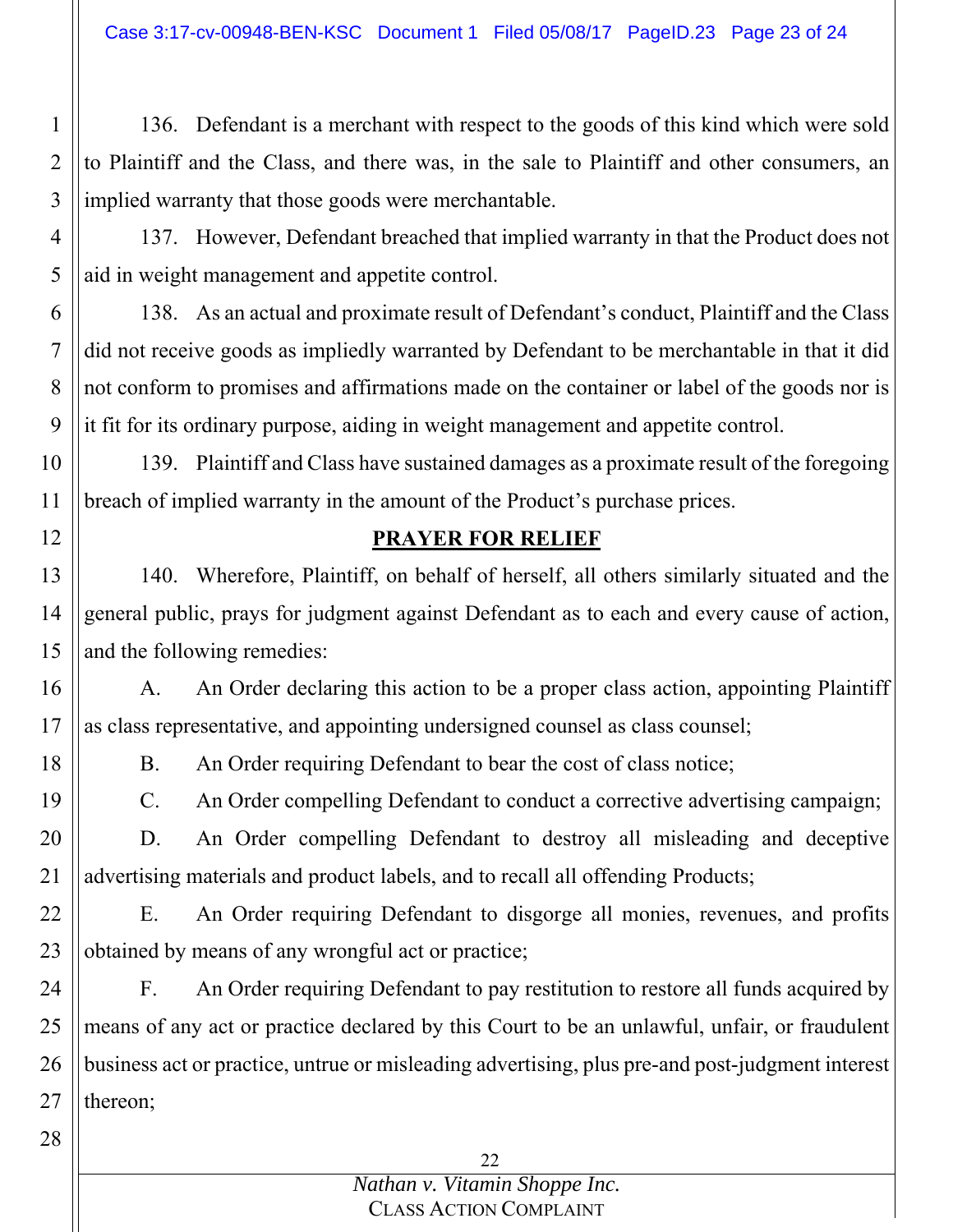136. Defendant is a merchant with respect to the goods of this kind which were sold to Plaintiff and the Class, and there was, in the sale to Plaintiff and other consumers, an implied warranty that those goods were merchantable.

4 5 137. However, Defendant breached that implied warranty in that the Product does not aid in weight management and appetite control.

6 7 8 9 138. As an actual and proximate result of Defendant's conduct, Plaintiff and the Class did not receive goods as impliedly warranted by Defendant to be merchantable in that it did not conform to promises and affirmations made on the container or label of the goods nor is it fit for its ordinary purpose, aiding in weight management and appetite control.

10 11 139. Plaintiff and Class have sustained damages as a proximate result of the foregoing breach of implied warranty in the amount of the Product's purchase prices.

### **PRAYER FOR RELIEF**

13 14 15 140. Wherefore, Plaintiff, on behalf of herself, all others similarly situated and the general public, prays for judgment against Defendant as to each and every cause of action, and the following remedies:

16 17 A. An Order declaring this action to be a proper class action, appointing Plaintiff as class representative, and appointing undersigned counsel as class counsel;

B. An Order requiring Defendant to bear the cost of class notice;

C. An Order compelling Defendant to conduct a corrective advertising campaign;

20 21 D. An Order compelling Defendant to destroy all misleading and deceptive advertising materials and product labels, and to recall all offending Products;

22 23 E. An Order requiring Defendant to disgorge all monies, revenues, and profits obtained by means of any wrongful act or practice;

24 25 26 27 F. An Order requiring Defendant to pay restitution to restore all funds acquired by means of any act or practice declared by this Court to be an unlawful, unfair, or fraudulent business act or practice, untrue or misleading advertising, plus pre-and post-judgment interest thereon;

28

1

2

3

12

18